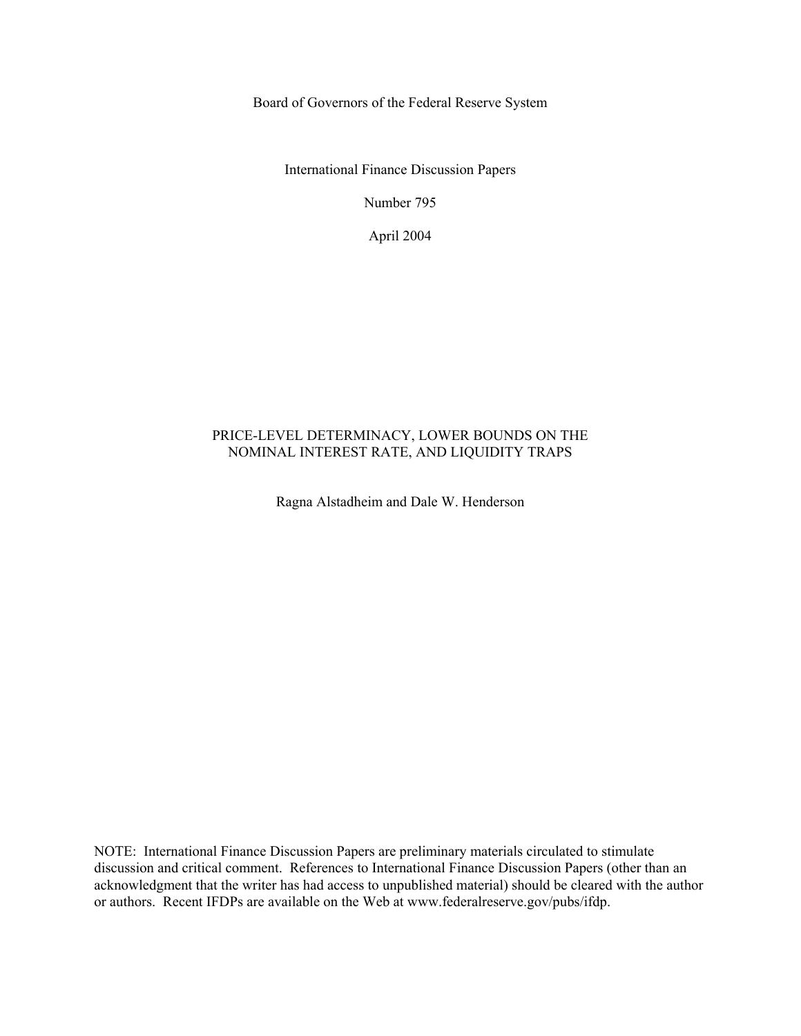Board of Governors of the Federal Reserve System

International Finance Discussion Papers

Number 795

April 2004

#### PRICE-LEVEL DETERMINACY, LOWER BOUNDS ON THE NOMINAL INTEREST RATE, AND LIQUIDITY TRAPS

Ragna Alstadheim and Dale W. Henderson

NOTE: International Finance Discussion Papers are preliminary materials circulated to stimulate discussion and critical comment. References to International Finance Discussion Papers (other than an acknowledgment that the writer has had access to unpublished material) should be cleared with the author or authors. Recent IFDPs are available on the Web at www.federalreserve.gov/pubs/ifdp.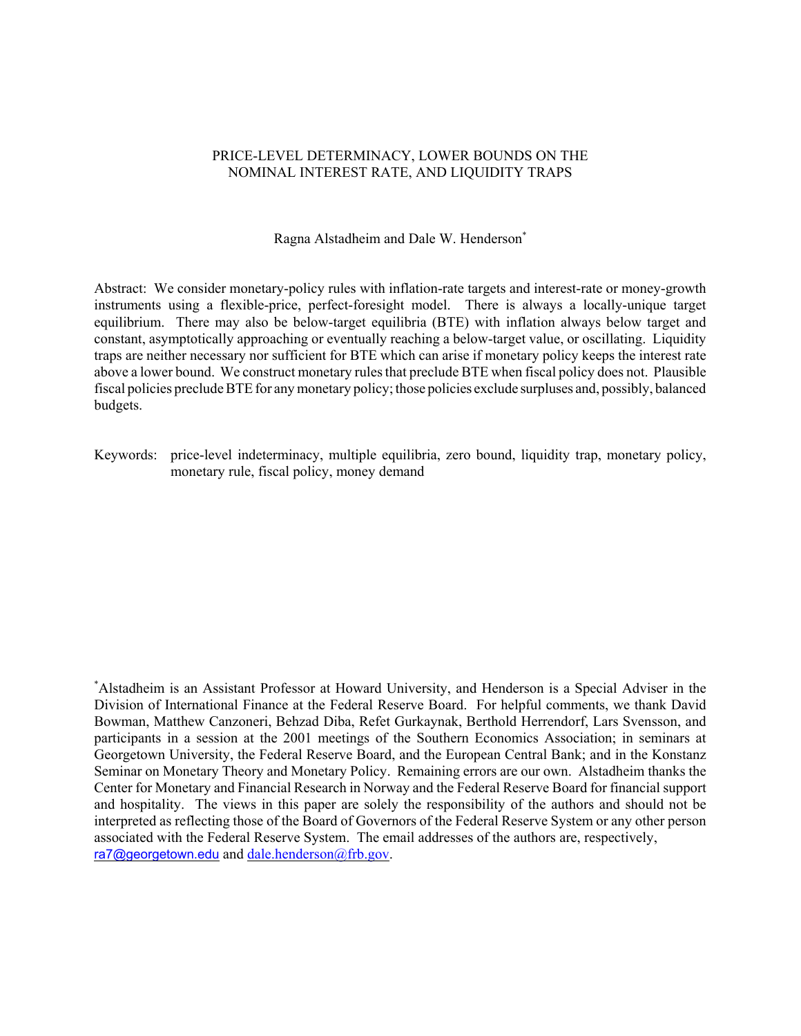#### PRICE-LEVEL DETERMINACY, LOWER BOUNDS ON THE NOMINAL INTEREST RATE, AND LIQUIDITY TRAPS

Ragna Alstadheim and Dale W. Henderson\*

Abstract: We consider monetary-policy rules with inflation-rate targets and interest-rate or money-growth instruments using a flexible-price, perfect-foresight model. There is always a locally-unique target equilibrium. There may also be below-target equilibria (BTE) with inflation always below target and constant, asymptotically approaching or eventually reaching a below-target value, or oscillating. Liquidity traps are neither necessary nor sufficient for BTE which can arise if monetary policy keeps the interest rate above a lower bound. We construct monetary rules that preclude BTE when fiscal policy does not. Plausible fiscal policies preclude BTE for any monetary policy; those policies exclude surpluses and, possibly, balanced budgets.

Keywords: price-level indeterminacy, multiple equilibria, zero bound, liquidity trap, monetary policy, monetary rule, fiscal policy, money demand

\* Alstadheim is an Assistant Professor at Howard University, and Henderson is a Special Adviser in the Division of International Finance at the Federal Reserve Board. For helpful comments, we thank David Bowman, Matthew Canzoneri, Behzad Diba, Refet Gurkaynak, Berthold Herrendorf, Lars Svensson, and participants in a session at the 2001 meetings of the Southern Economics Association; in seminars at Georgetown University, the Federal Reserve Board, and the European Central Bank; and in the Konstanz Seminar on Monetary Theory and Monetary Policy. Remaining errors are our own. Alstadheim thanks the Center for Monetary and Financial Research in Norway and the Federal Reserve Board for financial support and hospitality. The views in this paper are solely the responsibility of the authors and should not be interpreted as reflecting those of the Board of Governors of the Federal Reserve System or any other person associated with the Federal Reserve System. The email addresses of the authors are, respectively, ra7@georgetown.edu and dale.henderson@frb.gov.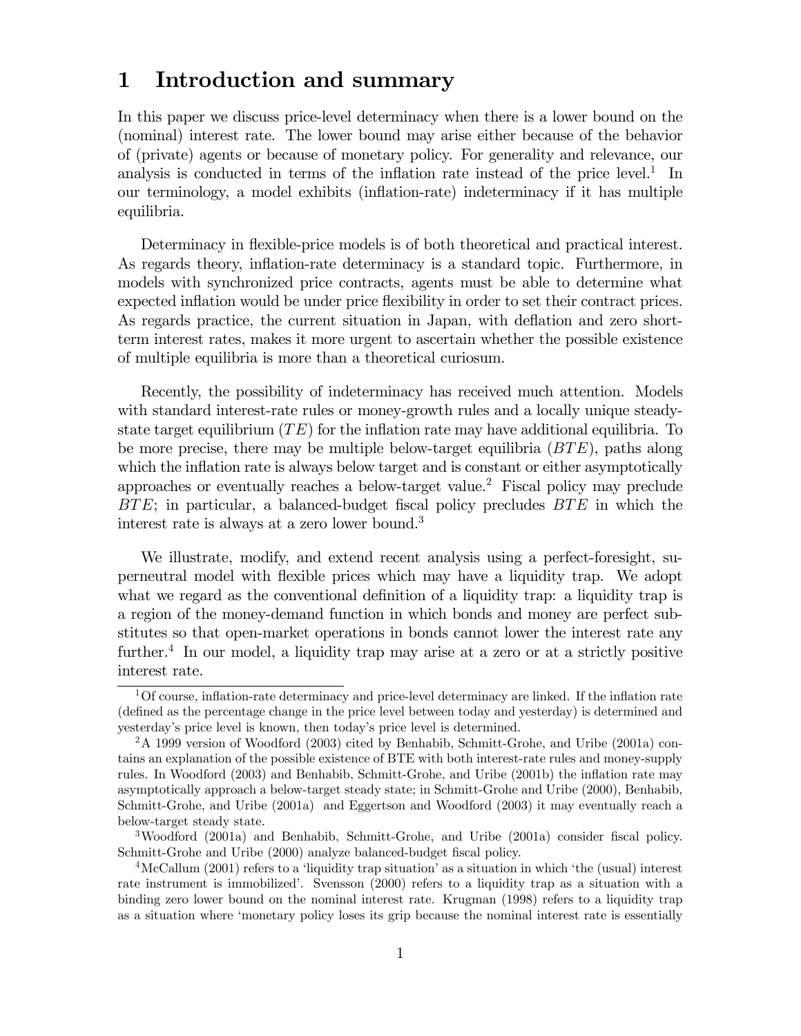# 1 Introduction and summary

In this paper we discuss price-level determinacy when there is a lower bound on the (nominal) interest rate. The lower bound may arise either because of the behavior of (private) agents or because of monetary policy. For generality and relevance, our analysis is conducted in terms of the inflation rate instead of the price level.<sup>1</sup> In our terminology, a model exhibits (inflation-rate) indeterminacy if it has multiple equilibria.

Determinacy in flexible-price models is of both theoretical and practical interest. As regards theory, inflation-rate determinacy is a standard topic. Furthermore, in models with synchronized price contracts, agents must be able to determine what expected inflation would be under price flexibility in order to set their contract prices. As regards practice, the current situation in Japan, with deflation and zero shortterm interest rates, makes it more urgent to ascertain whether the possible existence of multiple equilibria is more than a theoretical curiosum.

Recently, the possibility of indeterminacy has received much attention. Models with standard interest-rate rules or money-growth rules and a locally unique steadystate target equilibrium  $(TE)$  for the inflation rate may have additional equilibria. To be more precise, there may be multiple below-target equilibria  $(BTE)$ , paths along which the inflation rate is always below target and is constant or either asymptotically approaches or eventually reaches a below-target value.2 Fiscal policy may preclude  $BTE$ ; in particular, a balanced-budget fiscal policy precludes  $BTE$  in which the interest rate is always at a zero lower bound.<sup>3</sup>

We illustrate, modify, and extend recent analysis using a perfect-foresight, superneutral model with flexible prices which may have a liquidity trap. We adopt what we regard as the conventional definition of a liquidity trap: a liquidity trap is a region of the money-demand function in which bonds and money are perfect substitutes so that open-market operations in bonds cannot lower the interest rate any further.<sup>4</sup> In our model, a liquidity trap may arise at a zero or at a strictly positive interest rate.

<sup>&</sup>lt;sup>1</sup>Of course, inflation-rate determinacy and price-level determinacy are linked. If the inflation rate (defined as the percentage change in the price level between today and yesterday) is determined and yesterday's price level is known, then today's price level is determined.

<sup>2</sup>A 1999 version of Woodford (2003) cited by Benhabib, Schmitt-Grohe, and Uribe (2001a) contains an explanation of the possible existence of BTE with both interest-rate rules and money-supply rules. In Woodford (2003) and Benhabib, Schmitt-Grohe, and Uribe (2001b) the inflation rate may asymptotically approach a below-target steady state; in Schmitt-Grohe and Uribe (2000), Benhabib, Schmitt-Grohe, and Uribe (2001a) and Eggertson and Woodford (2003) it may eventually reach a below-target steady state.

<sup>3</sup>Woodford (2001a) and Benhabib, Schmitt-Grohe, and Uribe (2001a) consider fiscal policy. Schmitt-Grohe and Uribe (2000) analyze balanced-budget fiscal policy.

<sup>4</sup>McCallum (2001) refers to a 'liquidity trap situation' as a situation in which 'the (usual) interest rate instrument is immobilized'. Svensson (2000) refers to a liquidity trap as a situation with a binding zero lower bound on the nominal interest rate. Krugman (1998) refers to a liquidity trap as a situation where 'monetary policy loses its grip because the nominal interest rate is essentially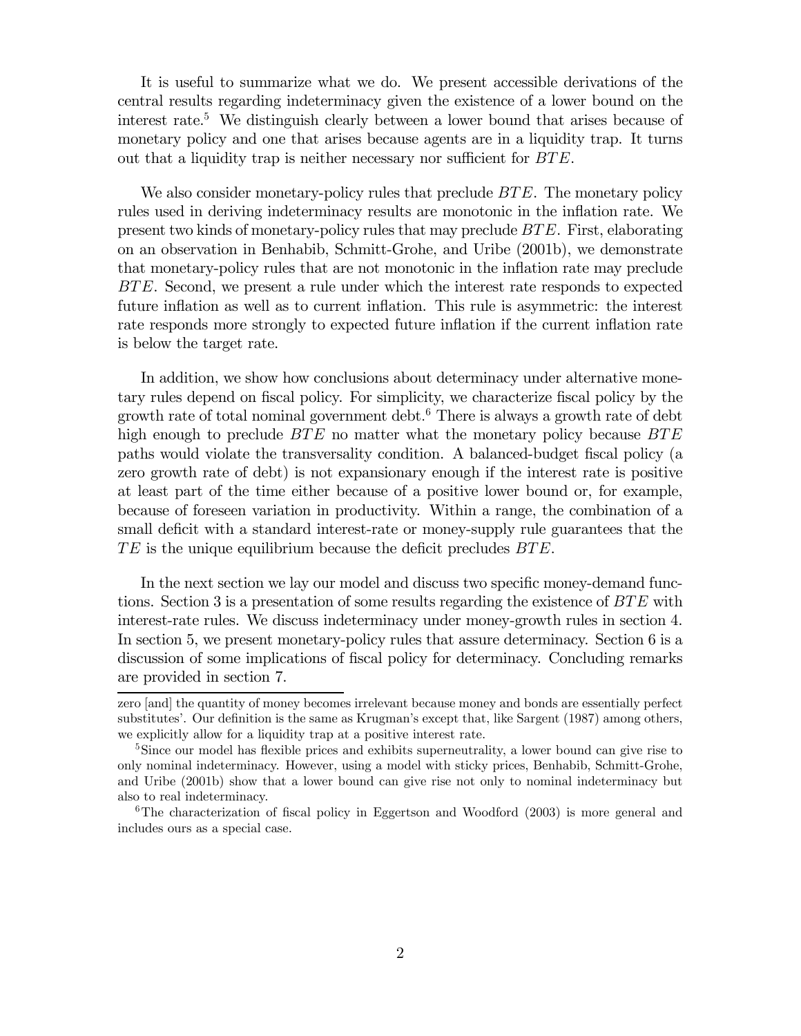It is useful to summarize what we do. We present accessible derivations of the central results regarding indeterminacy given the existence of a lower bound on the interest rate.<sup>5</sup> We distinguish clearly between a lower bound that arises because of monetary policy and one that arises because agents are in a liquidity trap. It turns out that a liquidity trap is neither necessary nor sufficient for BTE.

We also consider monetary-policy rules that preclude  $BTE$ . The monetary policy rules used in deriving indeterminacy results are monotonic in the inflation rate. We present two kinds of monetary-policy rules that may preclude BTE. First, elaborating on an observation in Benhabib, Schmitt-Grohe, and Uribe (2001b), we demonstrate that monetary-policy rules that are not monotonic in the inflation rate may preclude BTE. Second, we present a rule under which the interest rate responds to expected future inflation as well as to current inflation. This rule is asymmetric: the interest rate responds more strongly to expected future inflation if the current inflation rate is below the target rate.

In addition, we show how conclusions about determinacy under alternative monetary rules depend on fiscal policy. For simplicity, we characterize fiscal policy by the growth rate of total nominal government debt. <sup>6</sup> There is always a growth rate of debt high enough to preclude  $BTE$  no matter what the monetary policy because  $BTE$ paths would violate the transversality condition. A balanced-budget fiscal policy (a zero growth rate of debt) is not expansionary enough if the interest rate is positive at least part of the time either because of a positive lower bound or, for example, because of foreseen variation in productivity. Within a range, the combination of a small deficit with a standard interest-rate or money-supply rule guarantees that the  $TE$  is the unique equilibrium because the deficit precludes  $BTE$ .

In the next section we lay our model and discuss two specific money-demand functions. Section 3 is a presentation of some results regarding the existence of  $BTE$  with interest-rate rules. We discuss indeterminacy under money-growth rules in section 4. In section 5, we present monetary-policy rules that assure determinacy. Section 6 is a discussion of some implications of fiscal policy for determinacy. Concluding remarks are provided in section 7.

zero [and] the quantity of money becomes irrelevant because money and bonds are essentially perfect substitutes'. Our definition is the same as Krugman's except that, like Sargent (1987) among others, we explicitly allow for a liquidity trap at a positive interest rate.

<sup>&</sup>lt;sup>5</sup>Since our model has flexible prices and exhibits superneutrality, a lower bound can give rise to only nominal indeterminacy. However, using a model with sticky prices, Benhabib, Schmitt-Grohe, and Uribe (2001b) show that a lower bound can give rise not only to nominal indeterminacy but also to real indeterminacy.

<sup>6</sup>The characterization of fiscal policy in Eggertson and Woodford (2003) is more general and includes ours as a special case.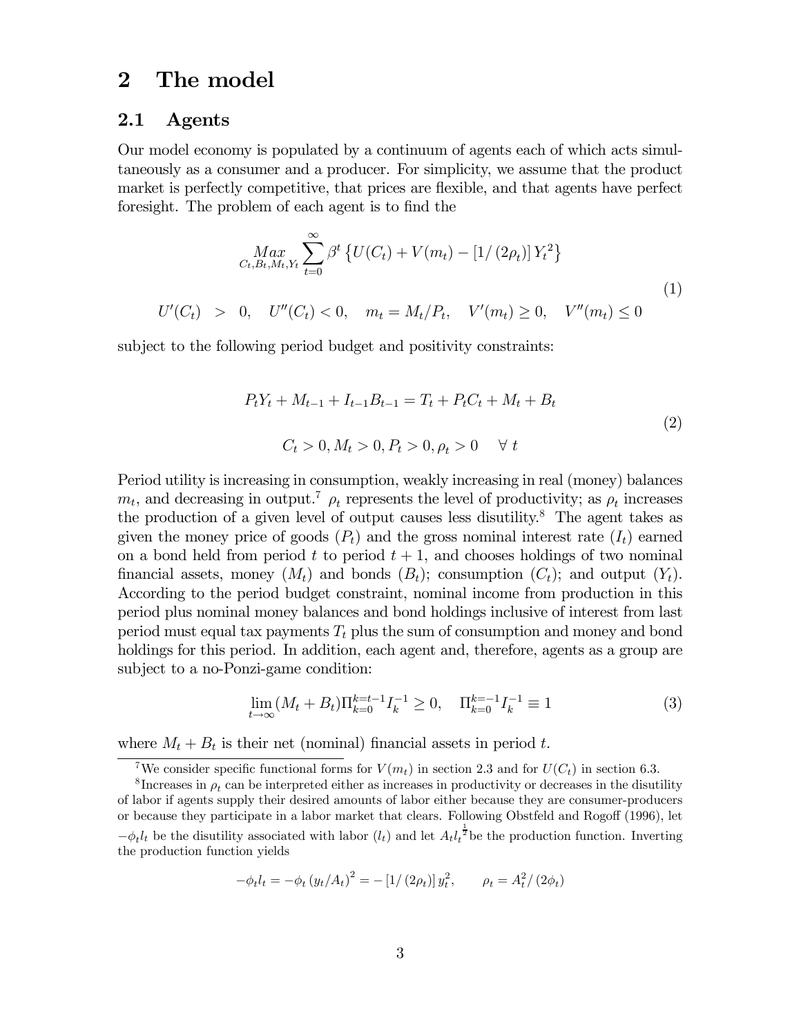# 2 The model

#### 2.1 Agents

Our model economy is populated by a continuum of agents each of which acts simultaneously as a consumer and a producer. For simplicity, we assume that the product market is perfectly competitive, that prices are flexible, and that agents have perfect foresight. The problem of each agent is to find the

$$
\begin{aligned}\n\lim_{C_t, B_t, M_t, Y_t} \sum_{t=0}^{\infty} \beta^t \left\{ U(C_t) + V(m_t) - \left[ 1/ \left( 2\rho_t \right) \right] Y_t^2 \right\} \\
U'(C_t) > 0, \quad U''(C_t) < 0, \quad m_t = M_t / P_t, \quad V'(m_t) \ge 0, \quad V''(m_t) \le 0\n\end{aligned} \tag{1}
$$

subject to the following period budget and positivity constraints:

$$
P_t Y_t + M_{t-1} + I_{t-1} B_{t-1} = T_t + P_t C_t + M_t + B_t
$$
  
\n
$$
C_t > 0, M_t > 0, P_t > 0, \rho_t > 0 \quad \forall \ t
$$
\n(2)

Period utility is increasing in consumption, weakly increasing in real (money) balances  $m_t$ , and decreasing in output.<sup>7</sup>  $\rho_t$  represents the level of productivity; as  $\rho_t$  increases the production of a given level of output causes less disutility.<sup>8</sup> The agent takes as given the money price of goods  $(P_t)$  and the gross nominal interest rate  $(I_t)$  earned on a bond held from period t to period  $t + 1$ , and chooses holdings of two nominal financial assets, money  $(M_t)$  and bonds  $(B_t)$ ; consumption  $(C_t)$ ; and output  $(Y_t)$ . According to the period budget constraint, nominal income from production in this period plus nominal money balances and bond holdings inclusive of interest from last period must equal tax payments  $T_t$  plus the sum of consumption and money and bond holdings for this period. In addition, each agent and, therefore, agents as a group are subject to a no-Ponzi-game condition:

$$
\lim_{t \to \infty} (M_t + B_t) \Pi_{k=0}^{k=t-1} I_k^{-1} \ge 0, \quad \Pi_{k=0}^{k=-1} I_k^{-1} \equiv 1 \tag{3}
$$

where  $M_t + B_t$  is their net (nominal) financial assets in period t.

$$
-\phi_t l_t = -\phi_t (y_t/A_t)^2 = -\left[1/(2\rho_t)\right] y_t^2, \qquad \rho_t = A_t^2/(2\phi_t)
$$

<sup>&</sup>lt;sup>7</sup>We consider specific functional forms for  $V(m_t)$  in section 2.3 and for  $U(C_t)$  in section 6.3.

<sup>&</sup>lt;sup>8</sup> Increases in  $\rho_t$  can be interpreted either as increases in productivity or decreases in the disutility of labor if agents supply their desired amounts of labor either because they are consumer-producers or because they participate in a labor market that clears. Following Obstfeld and Rogoff (1996), let  $-\phi_t l_t$  be the disutility associated with labor  $(l_t)$  and let  $A_t l_t^{\frac{1}{2}}$  be the production function. Inverting the production function yields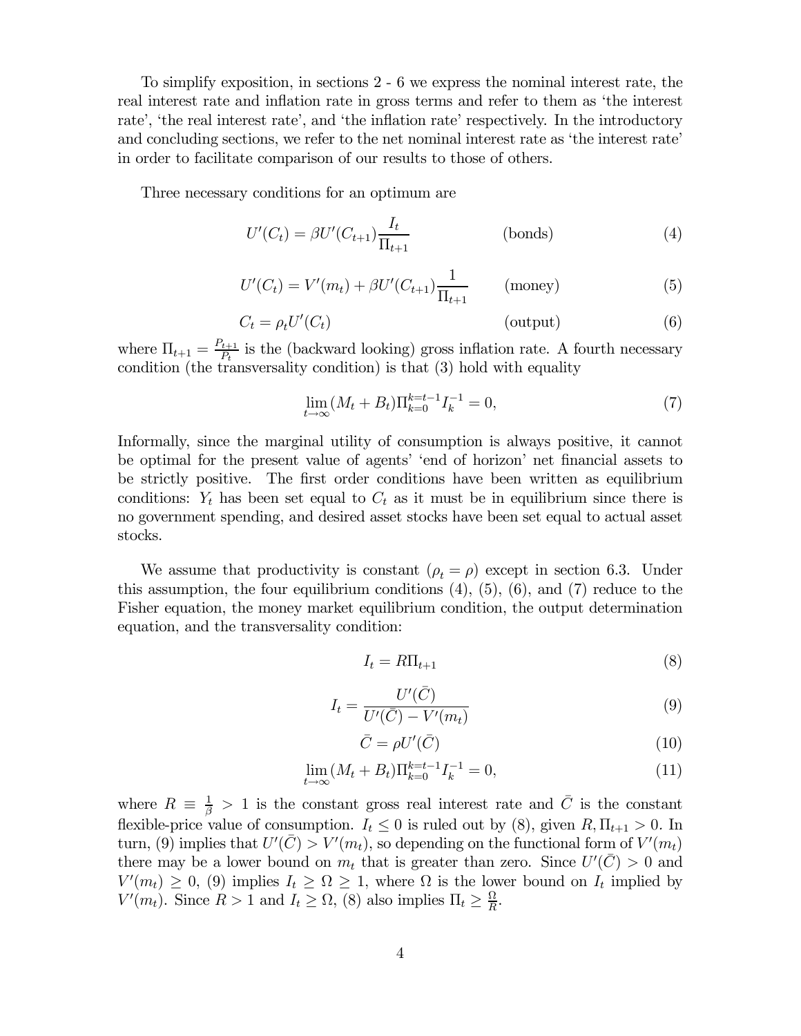To simplify exposition, in sections 2 - 6 we express the nominal interest rate, the real interest rate and inflation rate in gross terms and refer to them as 'the interest rate', 'the real interest rate', and 'the inflation rate' respectively. In the introductory and concluding sections, we refer to the net nominal interest rate as 'the interest rate' in order to facilitate comparison of our results to those of others.

Three necessary conditions for an optimum are

$$
U'(C_t) = \beta U'(C_{t+1}) \frac{I_t}{\Pi_{t+1}}
$$
 (bonds) \t\t(4)

$$
U'(C_t) = V'(m_t) + \beta U'(C_{t+1}) \frac{1}{\Pi_{t+1}}
$$
 (money) (5)

$$
C_t = \rho_t U'(C_t) \tag{6}
$$

where  $\Pi_{t+1} = \frac{P_{t+1}}{P_t}$  is the (backward looking) gross inflation rate. A fourth necessary condition (the transversality condition) is that (3) hold with equality

$$
\lim_{t \to \infty} (M_t + B_t) \Pi_{k=0}^{k=t-1} I_k^{-1} = 0,\tag{7}
$$

Informally, since the marginal utility of consumption is always positive, it cannot be optimal for the present value of agents' 'end of horizon' net financial assets to be strictly positive. The first order conditions have been written as equilibrium conditions:  $Y_t$  has been set equal to  $C_t$  as it must be in equilibrium since there is no government spending, and desired asset stocks have been set equal to actual asset stocks.

We assume that productivity is constant  $(\rho_t = \rho)$  except in section 6.3. Under this assumption, the four equilibrium conditions  $(4)$ ,  $(5)$ ,  $(6)$ , and  $(7)$  reduce to the Fisher equation, the money market equilibrium condition, the output determination equation, and the transversality condition:

$$
I_t = R\Pi_{t+1} \tag{8}
$$

$$
I_t = \frac{U'(\bar{C})}{U'(\bar{C}) - V'(m_t)}
$$
\n
$$
\tag{9}
$$

$$
\bar{C} = \rho U'(\bar{C}) \tag{10}
$$

$$
\lim_{t \to \infty} (M_t + B_t) \Pi_{k=0}^{k=t-1} I_k^{-1} = 0,
$$
\n(11)

where  $R \equiv \frac{1}{\beta} > 1$  is the constant gross real interest rate and  $\overline{C}$  is the constant flexible-price value of consumption.  $I_t \leq 0$  is ruled out by (8), given  $R, \Pi_{t+1} > 0$ . In turn, (9) implies that  $U'(\bar{C}) > V'(m_t)$ , so depending on the functional form of  $V'(m_t)$ there may be a lower bound on  $m_t$  that is greater than zero. Since  $U'(\bar{C}) > 0$  and  $V'(m_t) \geq 0$ , (9) implies  $I_t \geq \Omega \geq 1$ , where  $\Omega$  is the lower bound on  $I_t$  implied by  $V'(m_t)$ . Since  $R > 1$  and  $I_t \ge \Omega$ , (8) also implies  $\Pi_t \ge \frac{\Omega}{R}$ .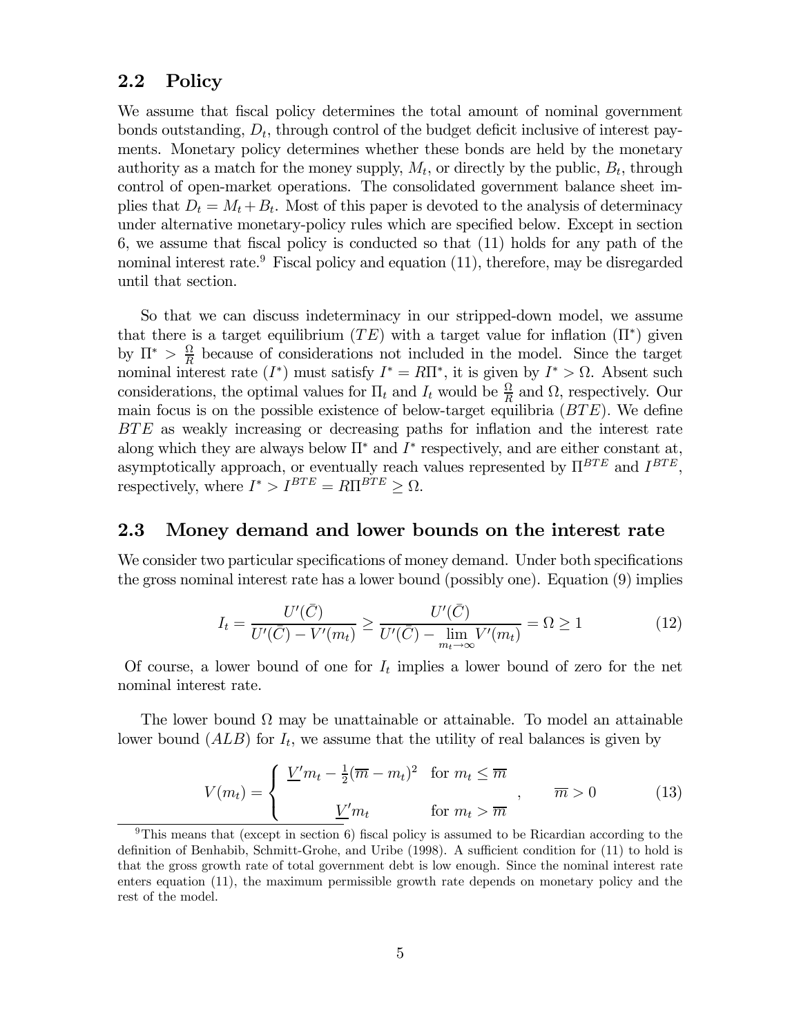### 2.2 Policy

We assume that fiscal policy determines the total amount of nominal government bonds outstanding,  $D_t$ , through control of the budget deficit inclusive of interest payments. Monetary policy determines whether these bonds are held by the monetary authority as a match for the money supply,  $M_t$ , or directly by the public,  $B_t$ , through control of open-market operations. The consolidated government balance sheet implies that  $D_t = M_t + B_t$ . Most of this paper is devoted to the analysis of determinacy under alternative monetary-policy rules which are specified below. Except in section 6, we assume that fiscal policy is conducted so that (11) holds for any path of the nominal interest rate.<sup>9</sup> Fiscal policy and equation  $(11)$ , therefore, may be disregarded until that section.

So that we can discuss indeterminacy in our stripped-down model, we assume that there is a target equilibrium (TE) with a target value for inflation ( $\Pi^*$ ) given by  $\Pi^* > \frac{\Omega}{R}$  because of considerations not included in the model. Since the target nominal interest rate  $(I^*)$  must satisfy  $I^* = R\Pi^*$ , it is given by  $I^* > \Omega$ . Absent such considerations, the optimal values for  $\Pi_t$  and  $I_t$  would be  $\frac{\Omega}{R}$  and  $\Omega$ , respectively. Our main focus is on the possible existence of below-target equilibria  $(BTE)$ . We define BTE as weakly increasing or decreasing paths for inflation and the interest rate along which they are always below  $\Pi^*$  and  $I^*$  respectively, and are either constant at, asymptotically approach, or eventually reach values represented by  $\Pi^{BTE}$  and  $I^{BTE}$ , respectively, where  $I^* > I^{BTE} = R\Pi^{BTE} \geq \Omega$ .

#### 2.3 Money demand and lower bounds on the interest rate

We consider two particular specifications of money demand. Under both specifications the gross nominal interest rate has a lower bound (possibly one). Equation (9) implies

$$
I_t = \frac{U'(\bar{C})}{U'(\bar{C}) - V'(m_t)} \ge \frac{U'(\bar{C})}{U'(\bar{C}) - \lim_{m_t \to \infty} V'(m_t)} = \Omega \ge 1
$$
\n(12)

Of course, a lower bound of one for  $I_t$  implies a lower bound of zero for the net nominal interest rate.

The lower bound  $\Omega$  may be unattainable or attainable. To model an attainable lower bound  $(ALB)$  for  $I_t$ , we assume that the utility of real balances is given by

$$
V(m_t) = \begin{cases} \frac{V'm_t - \frac{1}{2}(\overline{m} - m_t)^2 & \text{for } m_t \le \overline{m} \\ \frac{V'm_t}{\overline{m}} & \text{for } m_t > \overline{m} \end{cases}, \qquad \overline{m} > 0 \tag{13}
$$

<sup>&</sup>lt;sup>9</sup>This means that (except in section 6) fiscal policy is assumed to be Ricardian according to the definition of Benhabib, Schmitt-Grohe, and Uribe (1998). A sufficient condition for (11) to hold is that the gross growth rate of total government debt is low enough. Since the nominal interest rate enters equation (11), the maximum permissible growth rate depends on monetary policy and the rest of the model.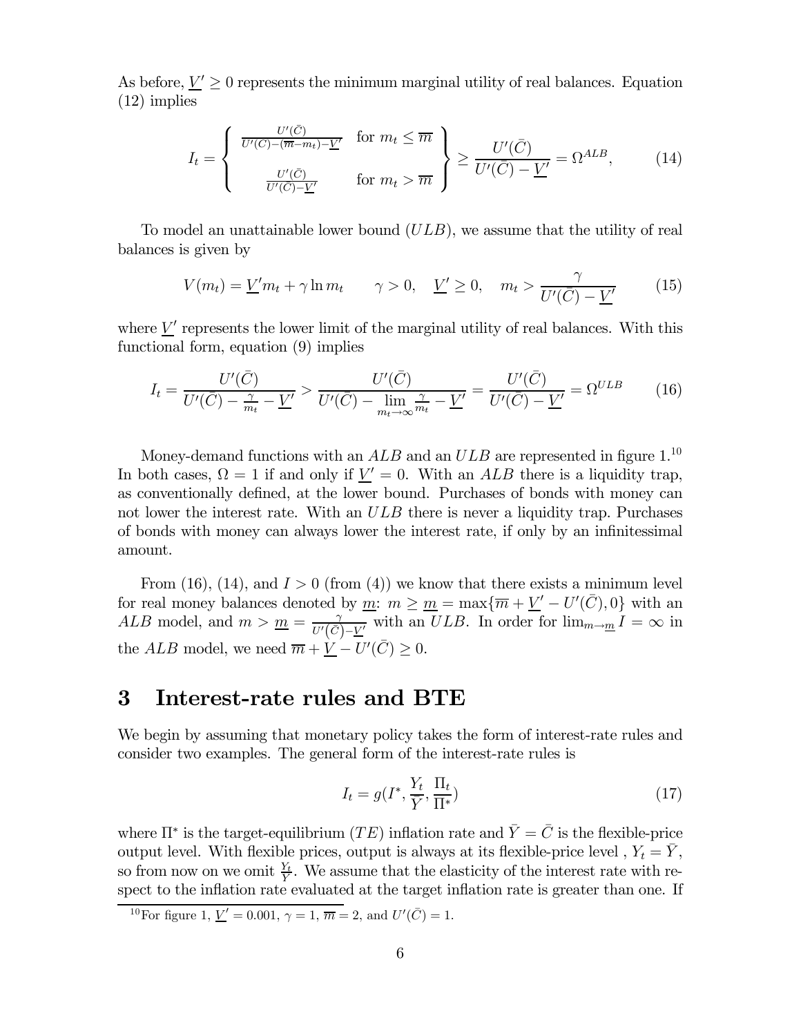As before,  $\underline{V}' \ge 0$  represents the minimum marginal utility of real balances. Equation (12) implies

$$
I_t = \begin{cases} \frac{U'(\bar{C})}{U'(\bar{C}) - (\overline{m} - m_t) - \underline{V}'} & \text{for } m_t \leq \overline{m} \\ \frac{U'(\bar{C})}{U'(\bar{C}) - \underline{V}'} & \text{for } m_t > \overline{m} \end{cases} \geq \frac{U'(\bar{C})}{U'(\bar{C}) - \underline{V}'} = \Omega^{ALB}, \quad (14)
$$

To model an unattainable lower bound  $(ULB)$ , we assume that the utility of real balances is given by

$$
V(m_t) = \underline{V}'m_t + \gamma \ln m_t \qquad \gamma > 0, \quad \underline{V}' \ge 0, \quad m_t > \frac{\gamma}{U'(\overline{C}) - \underline{V}'} \tag{15}
$$

where  $\underline{V}'$  represents the lower limit of the marginal utility of real balances. With this functional form, equation (9) implies

$$
I_t = \frac{U'(\bar{C})}{U'(\bar{C}) - \frac{\gamma}{m_t} - \underline{V}'} > \frac{U'(\bar{C})}{U'(\bar{C}) - \lim_{m_t \to \infty} \frac{\gamma}{m_t} - \underline{V}'} = \frac{U'(\bar{C})}{U'(\bar{C}) - \underline{V}'} = \Omega^{ULB}
$$
(16)

Money-demand functions with an  $ALB$  and an  $ULB$  are represented in figure  $1.10$ In both cases,  $\Omega = 1$  if and only if  $\underline{V}' = 0$ . With an ALB there is a liquidity trap, as conventionally defined, at the lower bound. Purchases of bonds with money can not lower the interest rate. With an  $ULB$  there is never a liquidity trap. Purchases of bonds with money can always lower the interest rate, if only by an infinitessimal amount.

From (16), (14), and  $I > 0$  (from (4)) we know that there exists a minimum level for real money balances denoted by <u>m</u>:  $m \ge m = \max{\{\overline{m} + \underline{V}' - U'(\overline{C}), 0\}}$  with an ALB model, and  $m > m = \frac{\gamma}{U'(\bar{C}) - \underline{V'}}$  with an ULB. In order for  $\lim_{m \to \underline{m}} I = \infty$  in the  $ALB$  model, we need  $\overline{m} + \underline{V} - U'(\overline{C}) \geq 0$ .

## 3 Interest-rate rules and BTE

We begin by assuming that monetary policy takes the form of interest-rate rules and consider two examples. The general form of the interest-rate rules is

$$
I_t = g(I^*, \frac{Y_t}{\overline{Y}}, \frac{\Pi_t}{\Pi^*})
$$
\n(17)

where  $\Pi^*$  is the target-equilibrium  $(TE)$  inflation rate and  $\overline{Y} = \overline{C}$  is the flexible-price output level. With flexible prices, output is always at its flexible-price level ,  $Y_t = \overline{Y}$ , so from now on we omit  $\frac{Y_t}{\tilde{Y}}$ . We assume that the elasticity of the interest rate with respect to the inflation rate evaluated at the target inflation rate is greater than one. If

<sup>&</sup>lt;sup>10</sup>For figure 1, <u> $V' = 0.001$ </u>,  $\gamma = 1$ ,  $\overline{m} = 2$ , and  $U'(\overline{C}) = 1$ .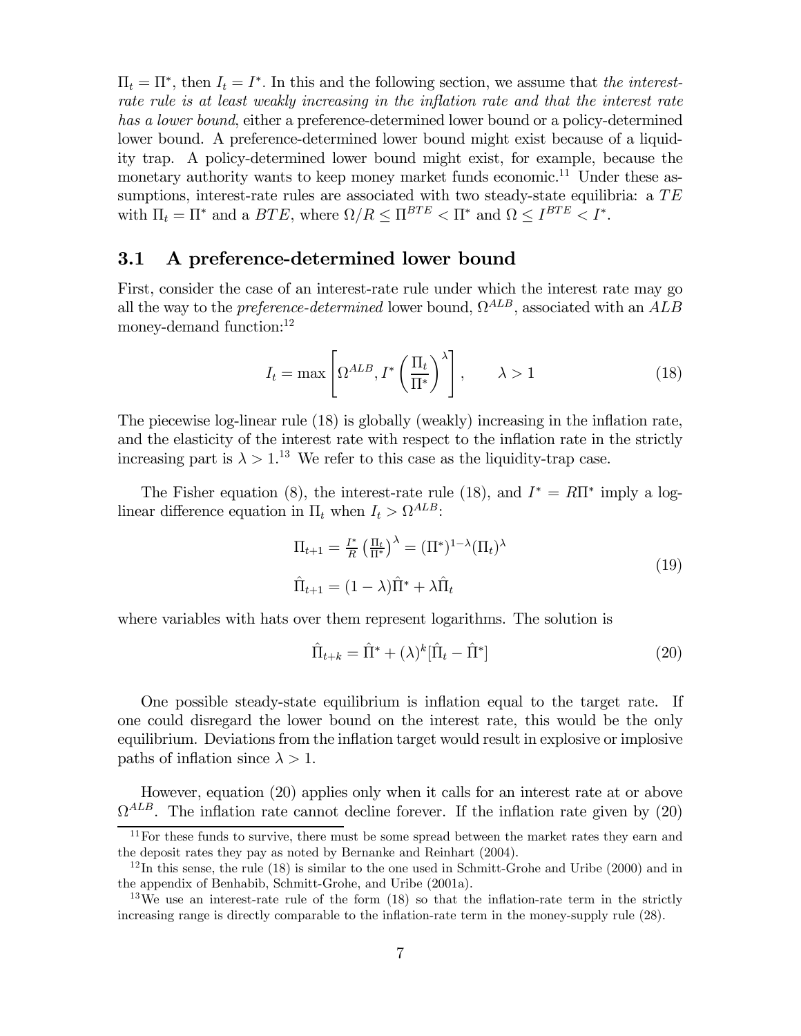$\Pi_t = \Pi^*$ , then  $I_t = I^*$ . In this and the following section, we assume that the interestrate rule is at least weakly increasing in the inflation rate and that the interest rate has a lower bound, either a preference-determined lower bound or a policy-determined lower bound. A preference-determined lower bound might exist because of a liquidity trap. A policy-determined lower bound might exist, for example, because the monetary authority wants to keep money market funds economic.<sup>11</sup> Under these assumptions, interest-rate rules are associated with two steady-state equilibria: a  $TE$ with  $\Pi_t = \Pi^*$  and a  $BTE$ , where  $\Omega/R \leq \Pi^{BTE} < \Pi^*$  and  $\Omega \leq I^{BTE} < I^*$ .

## 3.1 A preference-determined lower bound

First, consider the case of an interest-rate rule under which the interest rate may go all the way to the *preference-determined* lower bound,  $\Omega^{ALB}$ , associated with an  $ALB$ money-demand function:<sup>12</sup>

$$
I_t = \max\left[\Omega^{ALB}, I^*\left(\frac{\Pi_t}{\Pi^*}\right)^\lambda\right], \qquad \lambda > 1 \tag{18}
$$

The piecewise log-linear rule (18) is globally (weakly) increasing in the inflation rate, and the elasticity of the interest rate with respect to the inflation rate in the strictly increasing part is  $\lambda > 1$ .<sup>13</sup> We refer to this case as the liquidity-trap case.

The Fisher equation (8), the interest-rate rule (18), and  $I^* = R\Pi^*$  imply a loglinear difference equation in  $\Pi_t$  when  $I_t > \Omega^{ALB}$ :

$$
\Pi_{t+1} = \frac{I^*}{R} \left(\frac{\Pi_t}{\Pi^*}\right)^\lambda = (\Pi^*)^{1-\lambda} (\Pi_t)^\lambda
$$
\n
$$
\hat{\Pi}_{t+1} = (1-\lambda)\hat{\Pi}^* + \lambda \hat{\Pi}_t
$$
\n(19)

where variables with hats over them represent logarithms. The solution is

$$
\hat{\Pi}_{t+k} = \hat{\Pi}^* + (\lambda)^k [\hat{\Pi}_t - \hat{\Pi}^*]
$$
\n(20)

One possible steady-state equilibrium is inflation equal to the target rate. If one could disregard the lower bound on the interest rate, this would be the only equilibrium. Deviations from the inflation target would result in explosive or implosive paths of inflation since  $\lambda > 1$ .

However, equation (20) applies only when it calls for an interest rate at or above  $\Omega^{ALB}$ . The inflation rate cannot decline forever. If the inflation rate given by (20)

 $11$  For these funds to survive, there must be some spread between the market rates they earn and the deposit rates they pay as noted by Bernanke and Reinhart (2004).

 $12$ In this sense, the rule (18) is similar to the one used in Schmitt-Grohe and Uribe (2000) and in the appendix of Benhabib, Schmitt-Grohe, and Uribe (2001a).

<sup>&</sup>lt;sup>13</sup>We use an interest-rate rule of the form (18) so that the inflation-rate term in the strictly increasing range is directly comparable to the inflation-rate term in the money-supply rule (28).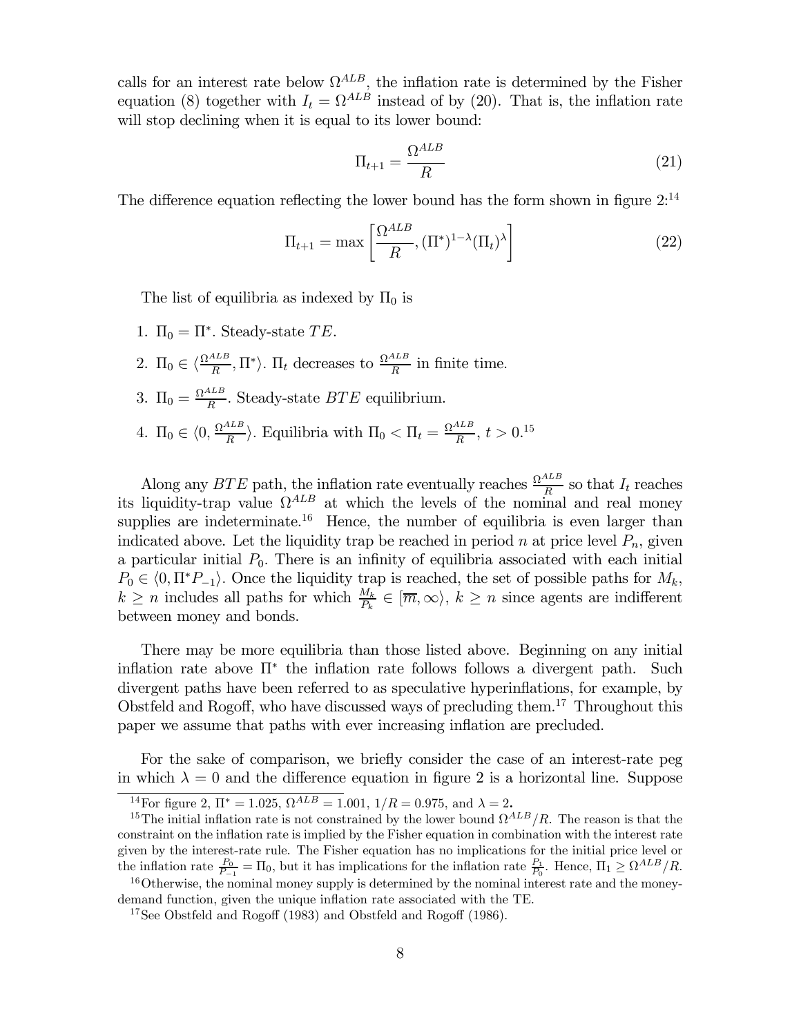calls for an interest rate below  $\Omega^{ALB}$ , the inflation rate is determined by the Fisher equation (8) together with  $I_t = \Omega^{ALB}$  instead of by (20). That is, the inflation rate will stop declining when it is equal to its lower bound:

$$
\Pi_{t+1} = \frac{\Omega^{ALB}}{R} \tag{21}
$$

The difference equation reflecting the lower bound has the form shown in figure  $2^{14}$ 

$$
\Pi_{t+1} = \max\left[\frac{\Omega^{ALB}}{R}, (\Pi^*)^{1-\lambda}(\Pi_t)^{\lambda}\right]
$$
\n(22)

The list of equilibria as indexed by  $\Pi_0$  is

- 1.  $\Pi_0 = \Pi^*$ . Steady-state TE.
- 2.  $\Pi_0 \in \langle \frac{\Omega^{ALB}}{R}, \Pi^* \rangle$ .  $\Pi_t$  decreases to  $\frac{\Omega^{ALB}}{R}$  in finite time.
- 3.  $\Pi_0 = \frac{\Omega^{ALB}}{R}$ . Steady-state  $BTE$  equilibrium.
- 4.  $\Pi_0 \in \langle 0, \frac{\Omega^{ALB}}{R} \rangle$ . Equilibria with  $\Pi_0 < \Pi_t = \frac{\Omega^{ALB}}{R}, t > 0.15$

Along any BTE path, the inflation rate eventually reaches  $\frac{\Omega^{ALB}}{R}$  so that  $I_t$  reaches its liquidity-trap value  $\Omega^{ALB}$  at which the levels of the nominal and real money supplies are indeterminate.<sup>16</sup> Hence, the number of equilibria is even larger than indicated above. Let the liquidity trap be reached in period n at price level  $P_n$ , given a particular initial  $P_0$ . There is an infinity of equilibria associated with each initial  $P_0 \in \langle 0, \Pi^*P_{-1} \rangle$ . Once the liquidity trap is reached, the set of possible paths for  $M_k$ ,  $k \geq n$  includes all paths for which  $\frac{M_k}{P_k} \in [\overline{m}, \infty)$ ,  $k \geq n$  since agents are indifferent between money and bonds.

There may be more equilibria than those listed above. Beginning on any initial inflation rate above  $\Pi^*$  the inflation rate follows follows a divergent path. Such divergent paths have been referred to as speculative hyperinflations, for example, by Obstfeld and Rogoff, who have discussed ways of precluding them.17 Throughout this paper we assume that paths with ever increasing inflation are precluded.

For the sake of comparison, we briefly consider the case of an interest-rate peg in which  $\lambda = 0$  and the difference equation in figure 2 is a horizontal line. Suppose

<sup>&</sup>lt;sup>14</sup>For figure 2,  $\Pi^* = 1.025$ ,  $\Omega^{ALB} = 1.001$ ,  $1/R = 0.975$ , and  $\lambda = 2$ .

<sup>&</sup>lt;sup>15</sup>The initial inflation rate is not constrained by the lower bound  $\Omega^{ALB}/R$ . The reason is that the constraint on the inflation rate is implied by the Fisher equation in combination with the interest rate given by the interest-rate rule. The Fisher equation has no implications for the initial price level or the inflation rate  $\frac{P_0}{P_{-1}} = \Pi_0$ , but it has implications for the inflation rate  $\frac{P_1}{P_0}$ . Hence,  $\Pi_1 \ge \Omega^{ALB}/R$ .

 $16$ Otherwise, the nominal money supply is determined by the nominal interest rate and the moneydemand function, given the unique inflation rate associated with the TE.

<sup>17</sup>See Obstfeld and Rogoff (1983) and Obstfeld and Rogoff (1986).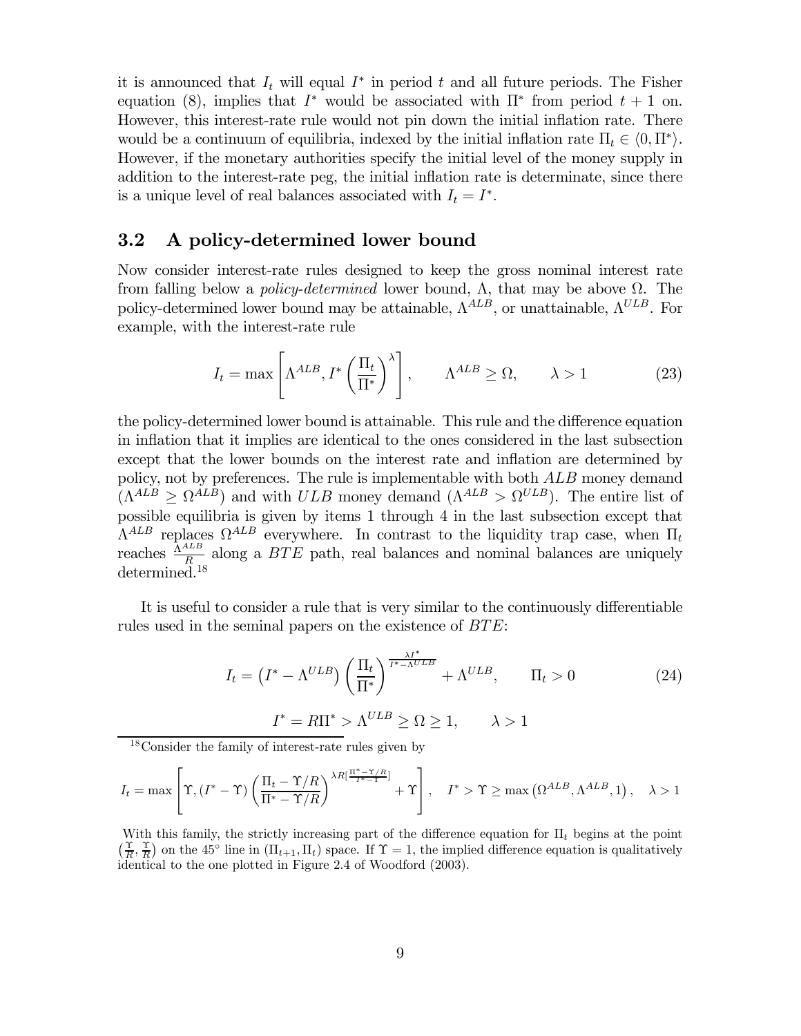it is announced that  $I_t$  will equal  $I^*$  in period t and all future periods. The Fisher equation (8), implies that  $I^*$  would be associated with  $\Pi^*$  from period  $t + 1$  on. However, this interest-rate rule would not pin down the initial inflation rate. There would be a continuum of equilibria, indexed by the initial inflation rate  $\Pi_t \in \langle 0, \Pi^* \rangle$ . However, if the monetary authorities specify the initial level of the money supply in addition to the interest-rate peg, the initial inflation rate is determinate, since there is a unique level of real balances associated with  $I_t = I^*$ .

#### 3.2 A policy-determined lower bound

Now consider interest-rate rules designed to keep the gross nominal interest rate from falling below a *policy-determined* lower bound,  $Λ$ , that may be above  $Ω$ . The policy-determined lower bound may be attainable,  $\Lambda^{ALB}$ , or unattainable,  $\Lambda^{ULB}$ . For example, with the interest-rate rule

$$
I_t = \max\left[\Lambda^{ALB}, I^*\left(\frac{\Pi_t}{\Pi^*}\right)^\lambda\right], \qquad \Lambda^{ALB} \ge \Omega, \qquad \lambda > 1 \tag{23}
$$

the policy-determined lower bound is attainable. This rule and the difference equation in inflation that it implies are identical to the ones considered in the last subsection except that the lower bounds on the interest rate and inflation are determined by policy, not by preferences. The rule is implementable with both ALB money demand  $(\Lambda^{ALB} \geq \Omega^{ALB})$  and with  $ULB$  money demand  $(\Lambda^{ALB} > \Omega^{ULB})$ . The entire list of possible equilibria is given by items 1 through 4 in the last subsection except that  $\Lambda^{ALB}$  replaces  $\Omega^{ALB}$  everywhere. In contrast to the liquidity trap case, when  $\Pi_t$ reaches  $\frac{\Lambda^{ALB}}{R}$  along a  $BTE$  path, real balances and nominal balances are uniquely determined.<sup>18</sup>

It is useful to consider a rule that is very similar to the continuously differentiable rules used in the seminal papers on the existence of BTE:

$$
I_t = (I^* - \Lambda^{ULB}) \left(\frac{\Pi_t}{\Pi^*}\right)^{\frac{\lambda I^*}{I^* - \Lambda^{ULB}}} + \Lambda^{ULB}, \qquad \Pi_t > 0
$$
\n
$$
I^* = R\Pi^* > \Lambda^{ULB} \ge \Omega \ge 1, \qquad \lambda > 1
$$
\n(24)

18Consider the family of interest-rate rules given by

$$
I_t = \max\left[\Upsilon, (I^* - \Upsilon) \left(\frac{\Pi_t - \Upsilon/R}{\Pi^* - \Upsilon/R}\right)^{\lambda R \left[\frac{\Pi^* - \Upsilon/R}{I^* - \Upsilon}\right]} + \Upsilon\right], \quad I^* > \Upsilon \ge \max\left(\Omega^{ALB}, \Lambda^{ALB}, 1\right), \quad \lambda > 1
$$

With this family, the strictly increasing part of the difference equation for  $\Pi_t$  begins at the point  $(\frac{\Upsilon}{R}, \frac{\Upsilon}{R})$  on the 45<sup>°</sup> line in  $(\Pi_{t+1}, \Pi_t)$  space. If  $\Upsilon = 1$ , the implied difference equation is qualitatively identical to the one plotted in Figure 2.4 of Woodford (2003).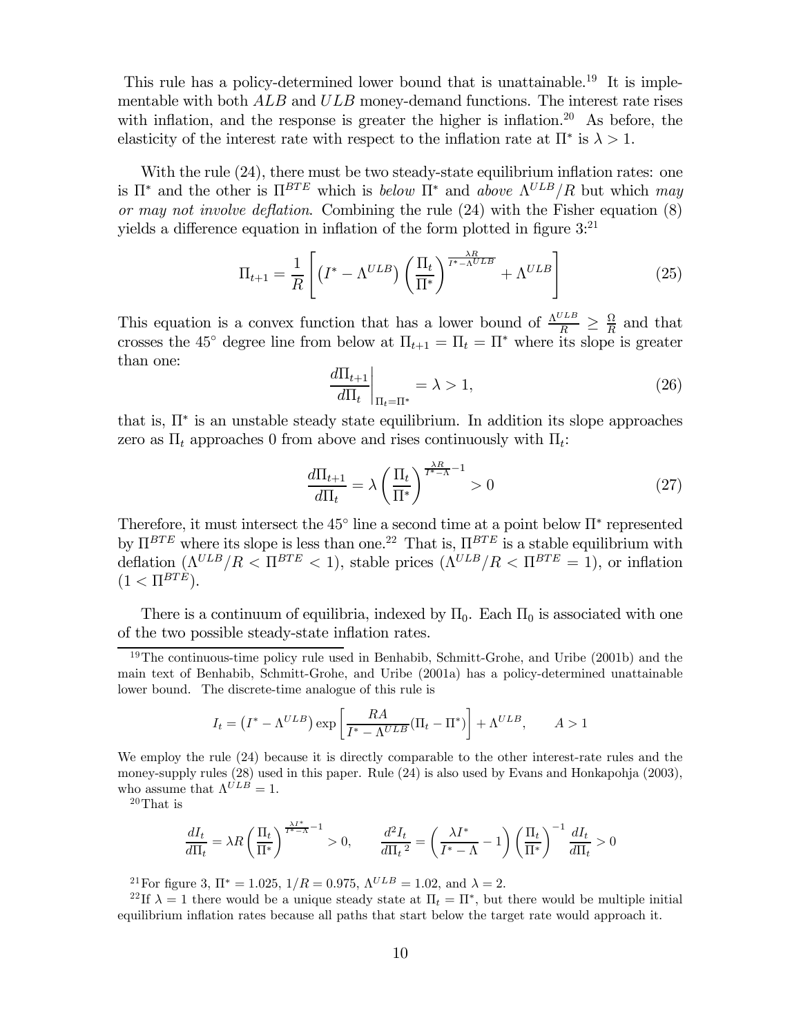This rule has a policy-determined lower bound that is unattainable.<sup>19</sup> It is implementable with both  $ALB$  and  $ULB$  money-demand functions. The interest rate rises with inflation, and the response is greater the higher is inflation.<sup>20</sup> As before, the elasticity of the interest rate with respect to the inflation rate at  $\Pi^*$  is  $\lambda > 1$ .

With the rule  $(24)$ , there must be two steady-state equilibrium inflation rates: one is  $\Pi^*$  and the other is  $\Pi^{BTE}$  which is below  $\Pi^*$  and above  $\Lambda^{ULB}/R$  but which may or may not involve deflation. Combining the rule (24) with the Fisher equation (8) yields a difference equation in inflation of the form plotted in figure  $3$ <sup>21</sup>

$$
\Pi_{t+1} = \frac{1}{R} \left[ \left( I^* - \Lambda^{ULB} \right) \left( \frac{\Pi_t}{\Pi^*} \right)^{\frac{\lambda R}{I^* - \Lambda^{ULB}}} + \Lambda^{ULB} \right] \tag{25}
$$

This equation is a convex function that has a lower bound of  $\frac{\Lambda^{ULB}}{R} \geq \frac{\Omega}{R}$  and that crosses the 45<sup>°</sup> degree line from below at  $\Pi_{t+1} = \Pi_t = \Pi^*$  where its slope is greater than one:

$$
\left. \frac{d\Pi_{t+1}}{d\Pi_t} \right|_{\Pi_t = \Pi^*} = \lambda > 1,\tag{26}
$$

that is,  $\Pi^*$  is an unstable steady state equilibrium. In addition its slope approaches zero as  $\Pi_t$  approaches 0 from above and rises continuously with  $\Pi_t$ :

$$
\frac{d\Pi_{t+1}}{d\Pi_t} = \lambda \left(\frac{\Pi_t}{\Pi^*}\right)^{\frac{\lambda R}{I^* - \Lambda} - 1} > 0\tag{27}
$$

Therefore, it must intersect the  $45^{\circ}$  line a second time at a point below  $\Pi^*$  represented by  $\Pi^{BTE}$  where its slope is less than one.<sup>22</sup> That is,  $\Pi^{BTE}$  is a stable equilibrium with deflation  $(\Lambda^{ULB}/R < \Pi^{BTE} < 1)$ , stable prices  $(\Lambda^{ULB}/R < \Pi^{BTE} = 1)$ , or inflation  $(1 < \Pi^{BTE}).$ 

There is a continuum of equilibria, indexed by  $\Pi_0$ . Each  $\Pi_0$  is associated with one of the two possible steady-state inflation rates.

$$
I_t = (I^* - \Lambda^{ULB}) \exp\left[\frac{RA}{I^* - \Lambda^{ULB}}(\Pi_t - \Pi^*)\right] + \Lambda^{ULB}, \qquad A > 1
$$

We employ the rule (24) because it is directly comparable to the other interest-rate rules and the money-supply rules (28) used in this paper. Rule (24) is also used by Evans and Honkapohja (2003), who assume that  $\Lambda^{ULB} = 1$ .

20That is

$$
\frac{dI_t}{d\Pi_t} = \lambda R \left(\frac{\Pi_t}{\Pi^*}\right)^{\frac{\lambda I^*}{I^* - \Lambda} - 1} > 0, \qquad \frac{d^2 I_t}{d\Pi_t^2} = \left(\frac{\lambda I^*}{I^* - \Lambda} - 1\right) \left(\frac{\Pi_t}{\Pi^*}\right)^{-1} \frac{dI_t}{d\Pi_t} > 0
$$

<sup>21</sup>For figure 3,  $\Pi^* = 1.025$ ,  $1/R = 0.975$ ,  $\Lambda^{ULB} = 1.02$ , and  $\lambda = 2$ .

<sup>22</sup>If  $\lambda = 1$  there would be a unique steady state at  $\Pi_t = \Pi^*$ , but there would be multiple initial equilibrium inflation rates because all paths that start below the target rate would approach it.

 $19$ The continuous-time policy rule used in Benhabib, Schmitt-Grohe, and Uribe (2001b) and the main text of Benhabib, Schmitt-Grohe, and Uribe (2001a) has a policy-determined unattainable lower bound. The discrete-time analogue of this rule is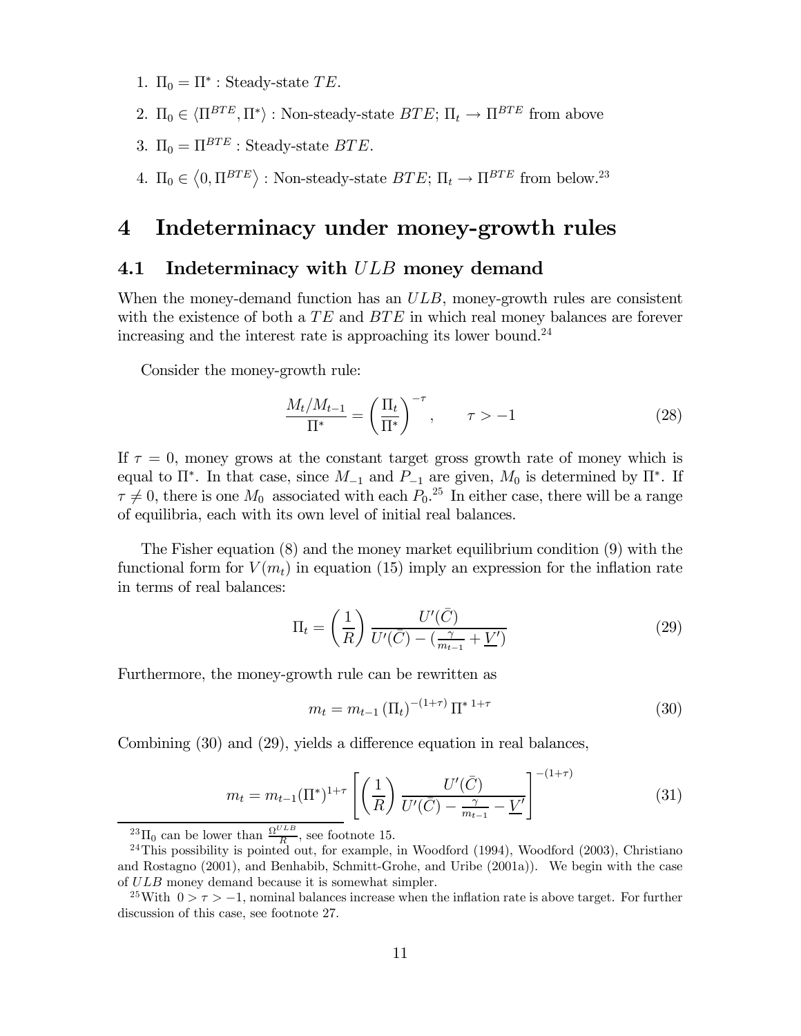1.  $\Pi_0 = \Pi^*$ : Steady-state TE.

- 2.  $\Pi_0 \in \langle \Pi^{BTE}, \Pi^* \rangle$ : Non-steady-state  $BTE$ ;  $\Pi_t \to \Pi^{BTE}$  from above
- 3.  $\Pi_0 = \Pi^{BTE}$ : Steady-state BTE.
- 4.  $\Pi_0 \in \langle 0, \Pi^{BTE} \rangle$ : Non-steady-state  $BTE$ ;  $\Pi_t \to \Pi^{BTE}$  from below.<sup>23</sup>

# 4 Indeterminacy under money-growth rules

## 4.1 Indeterminacy with  $ULB$  money demand

When the money-demand function has an  $ULB$ , money-growth rules are consistent with the existence of both a  $TE$  and  $BTE$  in which real money balances are forever increasing and the interest rate is approaching its lower bound.<sup>24</sup>

Consider the money-growth rule:

$$
\frac{M_t/M_{t-1}}{\Pi^*} = \left(\frac{\Pi_t}{\Pi^*}\right)^{-\tau}, \qquad \tau > -1 \tag{28}
$$

If  $\tau = 0$ , money grows at the constant target gross growth rate of money which is equal to  $\Pi^*$ . In that case, since  $M_{-1}$  and  $P_{-1}$  are given,  $M_0$  is determined by  $\Pi^*$ . If  $\tau \neq 0$ , there is one  $M_0$  associated with each  $P_0$ .<sup>25</sup> In either case, there will be a range of equilibria, each with its own level of initial real balances.

The Fisher equation (8) and the money market equilibrium condition (9) with the functional form for  $V(m_t)$  in equation (15) imply an expression for the inflation rate in terms of real balances:

$$
\Pi_t = \left(\frac{1}{R}\right) \frac{U'(\bar{C})}{U'(\bar{C}) - \left(\frac{\gamma}{m_{t-1}} + \underline{V}'\right)}\tag{29}
$$

Furthermore, the money-growth rule can be rewritten as

$$
m_t = m_{t-1} \left(\Pi_t\right)^{-(1+\tau)} \Pi^{* 1+\tau} \tag{30}
$$

Combining (30) and (29), yields a difference equation in real balances,

$$
m_t = m_{t-1}(\Pi^*)^{1+\tau} \left[ \left( \frac{1}{R} \right) \frac{U'(\bar{C})}{U'(\bar{C}) - \frac{\gamma}{m_{t-1}} - \underline{V}'} \right]^{-(1+\tau)}
$$
(31)

 $\frac{23}{10}$  can be lower than  $\frac{\Omega^{ULB}}{R}$ , see footnote 15.

 $^{24}$ This possibility is pointed out, for example, in Woodford (1994), Woodford (2003), Christiano and Rostagno (2001), and Benhabib, Schmitt-Grohe, and Uribe (2001a)). We begin with the case of ULB money demand because it is somewhat simpler.

<sup>&</sup>lt;sup>25</sup>With  $0 > \tau > -1$ , nominal balances increase when the inflation rate is above target. For further discussion of this case, see footnote 27.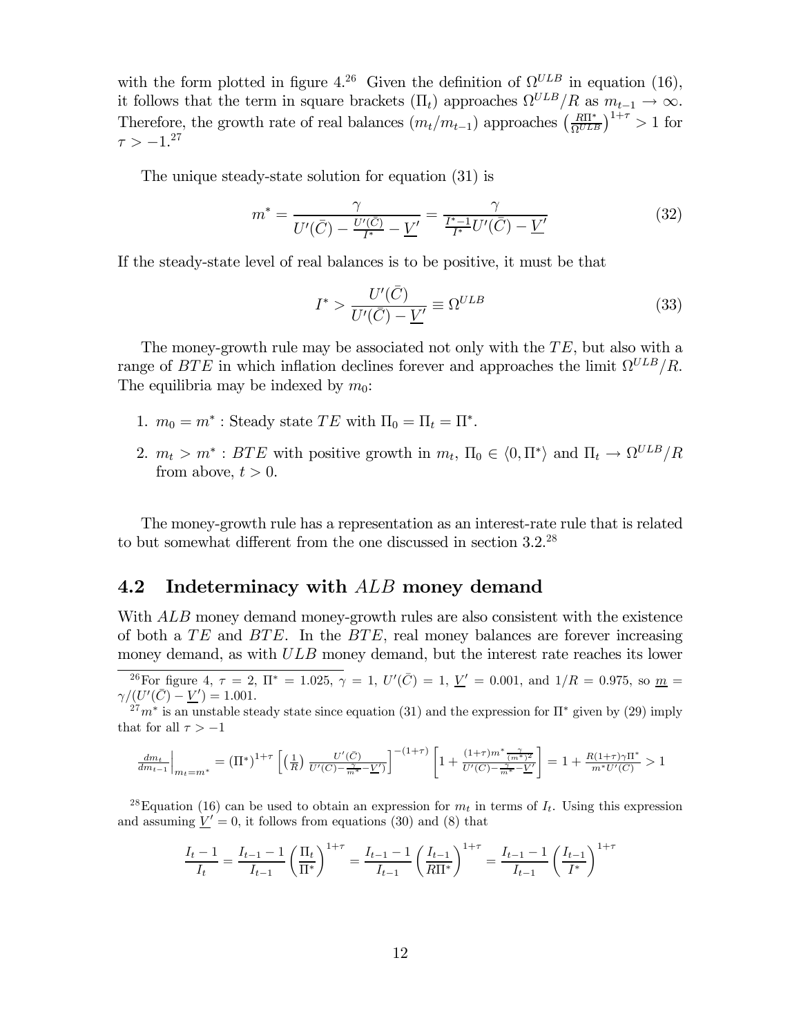with the form plotted in figure 4.<sup>26</sup> Given the definition of  $\Omega^{ULB}$  in equation (16), it follows that the term in square brackets  $(\Pi_t)$  approaches  $\Omega^{ULB}/R$  as  $m_{t-1} \to \infty$ . Therefore, the growth rate of real balances  $(m_t/m_{t-1})$  approaches  $\left(\frac{R\Pi^*}{\Omega^{ULB}}\right)^{1+\tau} > 1$  for  $\tau > -1.^{27}$ 

The unique steady-state solution for equation (31) is

$$
m^* = \frac{\gamma}{U'(\bar{C}) - \frac{U'(\bar{C})}{I^*} - \underline{V}'} = \frac{\gamma}{\frac{I^* - 1}{I^*}U'(\bar{C}) - \underline{V}'}
$$
(32)

If the steady-state level of real balances is to be positive, it must be that

$$
I^* > \frac{U'(\bar{C})}{U'(\bar{C}) - \underline{V}'} \equiv \Omega^{ULB} \tag{33}
$$

The money-growth rule may be associated not only with the  $TE$ , but also with a range of  $BTE$  in which inflation declines forever and approaches the limit  $\Omega^{ULB}/R$ . The equilibria may be indexed by  $m_0$ :

- 1.  $m_0 = m^*$ : Steady state TE with  $\Pi_0 = \Pi_t = \Pi^*$ .
- 2.  $m_t > m^*$ : BTE with positive growth in  $m_t$ ,  $\Pi_0 \in (0, \Pi^*)$  and  $\Pi_t \to \Omega^{ULB}/R$ from above,  $t > 0$ .

The money-growth rule has a representation as an interest-rate rule that is related to but somewhat different from the one discussed in section 3.2.28

#### 4.2 Indeterminacy with  $ALB$  money demand

With  $ALB$  money demand money-growth rules are also consistent with the existence of both a  $TE$  and  $BTE$ . In the  $BTE$ , real money balances are forever increasing money demand, as with  $ULB$  money demand, but the interest rate reaches its lower

<sup>26</sup>For figure 4,  $\tau = 2$ ,  $\Pi^* = 1.025$ ,  $\gamma = 1$ ,  $U'(\bar{C}) = 1$ ,  $\underline{V}' = 0.001$ , and  $1/R = 0.975$ , so  $\underline{m} =$  $\gamma/(U'(\bar{C}) - \underline{V}') = 1.001.$ 

 $27m^*$  is an unstable steady state since equation (31) and the expression for  $\Pi^*$  given by (29) imply that for all  $\tau > -1$ 

$$
\frac{dm_t}{dm_{t-1}}\bigg|_{m_t=m^*} = \left(\Pi^*\right)^{1+\tau} \left[ \left(\frac{1}{R}\right) \frac{U'(\bar{C})}{U'(\bar{C})-\frac{\gamma}{m^*}-\underline{V}'} \right]^{-(1+\tau)} \left[1+\frac{(1+\tau)m^*\frac{\gamma}{(m^*)^2}}{U'(\bar{C})-\frac{\gamma}{m^*}-\underline{V}'} \right] = 1+\frac{R(1+\tau)\gamma\Pi^*}{m^*U'(\bar{C})} > 1
$$

<sup>28</sup>Equation (16) can be used to obtain an expression for  $m_t$  in terms of  $I_t$ . Using this expression and assuming  $\underline{V}' = 0$ , it follows from equations (30) and (8) that

$$
\frac{I_t - 1}{I_t} = \frac{I_{t-1} - 1}{I_{t-1}} \left(\frac{\Pi_t}{\Pi^*}\right)^{1+\tau} = \frac{I_{t-1} - 1}{I_{t-1}} \left(\frac{I_{t-1}}{R\Pi^*}\right)^{1+\tau} = \frac{I_{t-1} - 1}{I_{t-1}} \left(\frac{I_{t-1}}{I^*}\right)^{1+\tau}
$$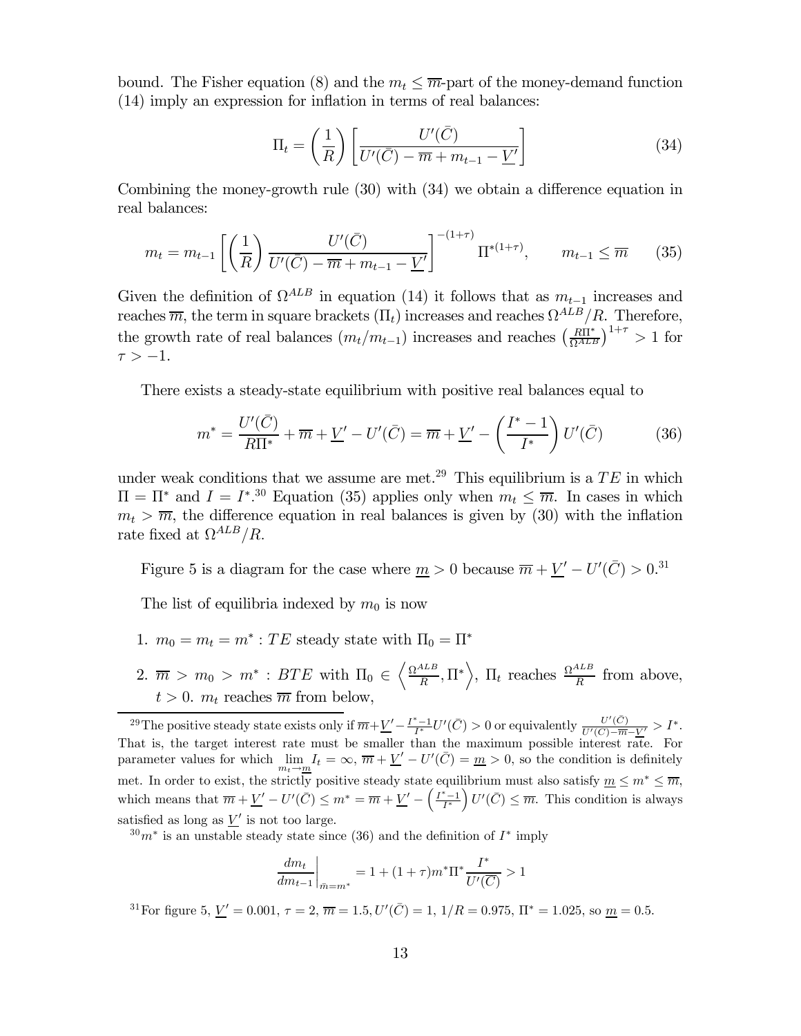bound. The Fisher equation (8) and the  $m_t \leq \overline{m}$ -part of the money-demand function (14) imply an expression for inflation in terms of real balances:

$$
\Pi_t = \left(\frac{1}{R}\right) \left[ \frac{U'(\bar{C})}{U'(\bar{C}) - \overline{m} + m_{t-1} - \underline{V}'} \right]
$$
\n(34)

Combining the money-growth rule (30) with (34) we obtain a difference equation in real balances:

$$
m_t = m_{t-1} \left[ \left( \frac{1}{R} \right) \frac{U'(\bar{C})}{U'(\bar{C}) - \overline{m} + m_{t-1} - \underline{V}'} \right]^{-(1+\tau)} \Pi^{*(1+\tau)}, \qquad m_{t-1} \leq \overline{m} \tag{35}
$$

Given the definition of  $\Omega^{ALB}$  in equation (14) it follows that as  $m_{t-1}$  increases and reaches  $\overline{m}$ , the term in square brackets  $(\Pi_t)$  increases and reaches  $\Omega^{ALB}/R$ . Therefore, the growth rate of real balances  $(m_t/m_{t-1})$  increases and reaches  $\left(\frac{R\Pi^*}{\Omega^{ALE}}\right)^{1+\tau} > 1$  for  $\tau > -1$ .

There exists a steady-state equilibrium with positive real balances equal to

$$
m^* = \frac{U'(\bar{C})}{R\Pi^*} + \overline{m} + \underline{V}' - U'(\bar{C}) = \overline{m} + \underline{V}' - \left(\frac{I^* - 1}{I^*}\right)U'(\bar{C})
$$
(36)

under weak conditions that we assume are met.<sup>29</sup> This equilibrium is a  $TE$  in which  $\Pi = \Pi^*$  and  $I = I^{*,30}$  Equation (35) applies only when  $m_t \leq \overline{m}$ . In cases in which  $m_t > \overline{m}$ , the difference equation in real balances is given by (30) with the inflation rate fixed at  $\Omega^{ALB}/R$ .

Figure 5 is a diagram for the case where  $\underline{m} > 0$  because  $\overline{m} + \underline{V}' - U'(\overline{C}) > 0.31$ 

The list of equilibria indexed by  $m_0$  is now

- 1.  $m_0 = m_t = m^* : TE$  steady state with  $\Pi_0 = \Pi^*$
- 2.  $\overline{m} > m_0 > m^*$ :  $BTE$  with  $\Pi_0 \in \left\langle \frac{\Omega^{ALB}}{R}, \Pi^* \right\rangle$ ,  $\Pi_t$  reaches  $\frac{\Omega^{ALB}}{R}$  from above,  $t > 0$ .  $m_t$  reaches  $\overline{m}$  from below,

 $30m^*$  is an unstable steady state since (36) and the definition of  $I^*$  imply

$$
\left. \frac{dm_t}{dm_{t-1}} \right|_{\bar{m}=m^*} = 1 + (1+\tau)m^* \Pi^* \frac{I^*}{U'(\overline{C})} > 1
$$

<sup>31</sup> For figure 5,  $\underline{V}' = 0.001$ ,  $\tau = 2$ ,  $\overline{m} = 1.5$ ,  $U'(\overline{C}) = 1$ ,  $1/R = 0.975$ ,  $\Pi^* = 1.025$ , so  $\underline{m} = 0.5$ .

<sup>&</sup>lt;sup>29</sup>The positive steady state exists only if  $\overline{m} + \underline{V}' - \frac{I^*-1}{I^*}U'(\overline{C}) > 0$  or equivalently  $\frac{U'(\overline{C})}{U'(\overline{C}) - \overline{m} - \underline{V}'} > I^*$ .<br>That is, the target interest rate must be smaller than the maximum possible int parameter values for which  $\lim_{m_t \to \underline{m}} I_t = \infty$ ,  $\overline{m} + \underline{V}' - U'(\overline{C}) = \underline{m} > 0$ , so the condition is definitely met. In order to exist, the strictly positive steady state equilibrium must also satisfy  $\underline{m} \leq m^* \leq \overline{m}$ , which means that  $\overline{m} + \underline{V}' - U'(\overline{C}) \leq m^* = \overline{m} + \underline{V}' - \left(\frac{I^* - 1}{I^*}\right)$  $U'(\bar{C}) \leq \overline{m}$ . This condition is always satisfied as long as  $V'$  is not too large.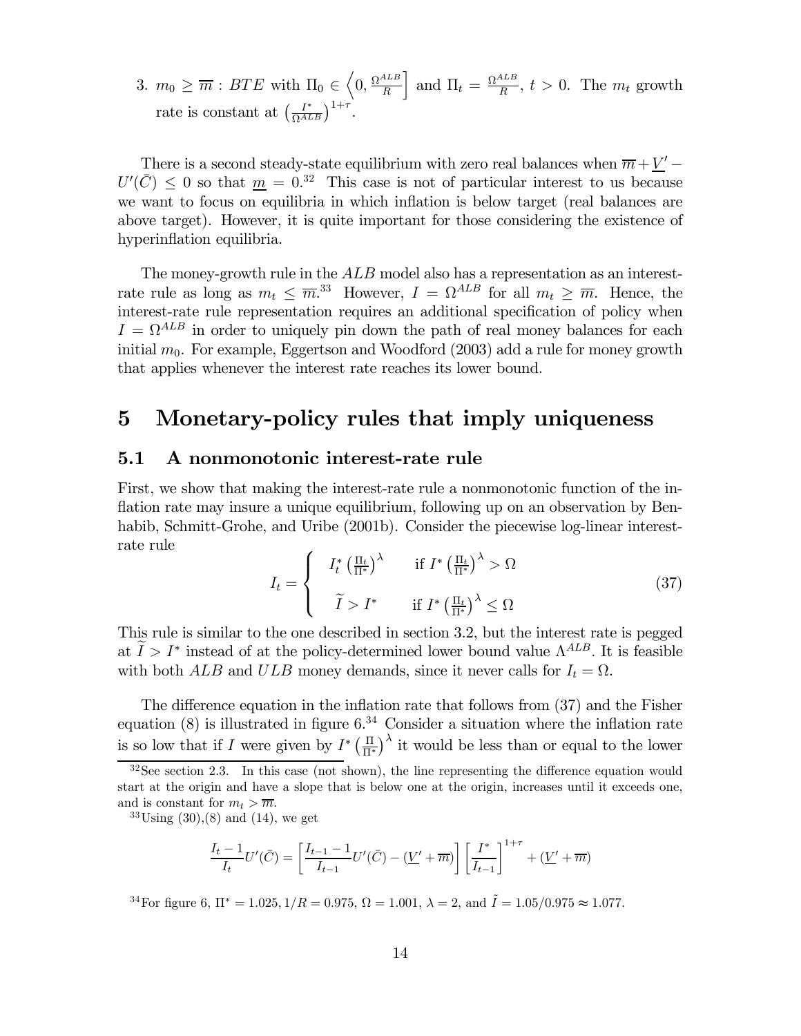3.  $m_0 \geq \overline{m}$ :  $BTE$  with  $\Pi_0 \in \left\langle 0, \frac{\Omega^{ALB}}{R} \right\rangle$ and  $\Pi_t = \frac{\Omega^{ALB}}{R}$ ,  $t > 0$ . The  $m_t$  growth rate is constant at  $\left(\frac{I^*}{\Omega^{ALB}}\right)^{1+\tau}$ .

There is a second steady-state equilibrium with zero real balances when  $\overline{m} + \underline{V}' - \overline{R}$  $U'(\bar{C}) \leq 0$  so that  $\underline{m} = 0.32$  This case is not of particular interest to us because we want to focus on equilibria in which inflation is below target (real balances are above target). However, it is quite important for those considering the existence of hyperinflation equilibria.

The money-growth rule in the  $ALB$  model also has a representation as an interestrate rule as long as  $m_t \leq \overline{m}^{33}$ . However,  $I = \Omega^{ALB}$  for all  $m_t \geq \overline{m}$ . Hence, the interest-rate rule representation requires an additional specification of policy when  $I = \Omega^{ALB}$  in order to uniquely pin down the path of real money balances for each initial  $m_0$ . For example, Eggertson and Woodford (2003) add a rule for money growth that applies whenever the interest rate reaches its lower bound.

# 5 Monetary-policy rules that imply uniqueness

#### 5.1 A nonmonotonic interest-rate rule

First, we show that making the interest-rate rule a nonmonotonic function of the inflation rate may insure a unique equilibrium, following up on an observation by Benhabib, Schmitt-Grohe, and Uribe (2001b). Consider the piecewise log-linear interestrate rule

$$
I_{t} = \begin{cases} I_{t}^{*} \left(\frac{\Pi_{t}}{\Pi^{*}}\right)^{\lambda} & \text{if } I^{*} \left(\frac{\Pi_{t}}{\Pi^{*}}\right)^{\lambda} > \Omega \\ \tilde{I} & \text{if } I^{*} \left(\frac{\Pi_{t}}{\Pi^{*}}\right)^{\lambda} \leq \Omega \end{cases}
$$
(37)

This rule is similar to the one described in section 3.2, but the interest rate is pegged at  $I>I^*$  instead of at the policy-determined lower bound value  $\Lambda^{ALB}$ . It is feasible with both ALB and ULB money demands, since it never calls for  $I_t = \Omega$ .

The difference equation in the inflation rate that follows from (37) and the Fisher equation  $(8)$  is illustrated in figure  $6<sup>34</sup>$  Consider a situation where the inflation rate is so low that if I were given by  $I^* \left( \frac{\Pi}{\Pi^*} \right)^{\lambda}$  it would be less than or equal to the lower

 $33\,\mathrm{Using}\, (30),(8)$  and  $(14)$ , we get

$$
\frac{I_t - 1}{I_t} U'(\bar{C}) = \left[ \frac{I_{t-1} - 1}{I_{t-1}} U'(\bar{C}) - (\underline{V}' + \overline{m}) \right] \left[ \frac{I^*}{I_{t-1}} \right]^{1+\tau} + (\underline{V}' + \overline{m})
$$

<sup>34</sup>For figure 6,  $\Pi^* = 1.025, 1/R = 0.975, \Omega = 1.001, \lambda = 2$ , and  $\tilde{I} = 1.05/0.975 \approx 1.077$ .

 $32$ See section 2.3. In this case (not shown), the line representing the difference equation would start at the origin and have a slope that is below one at the origin, increases until it exceeds one, and is constant for  $m_t > \overline{m}$ .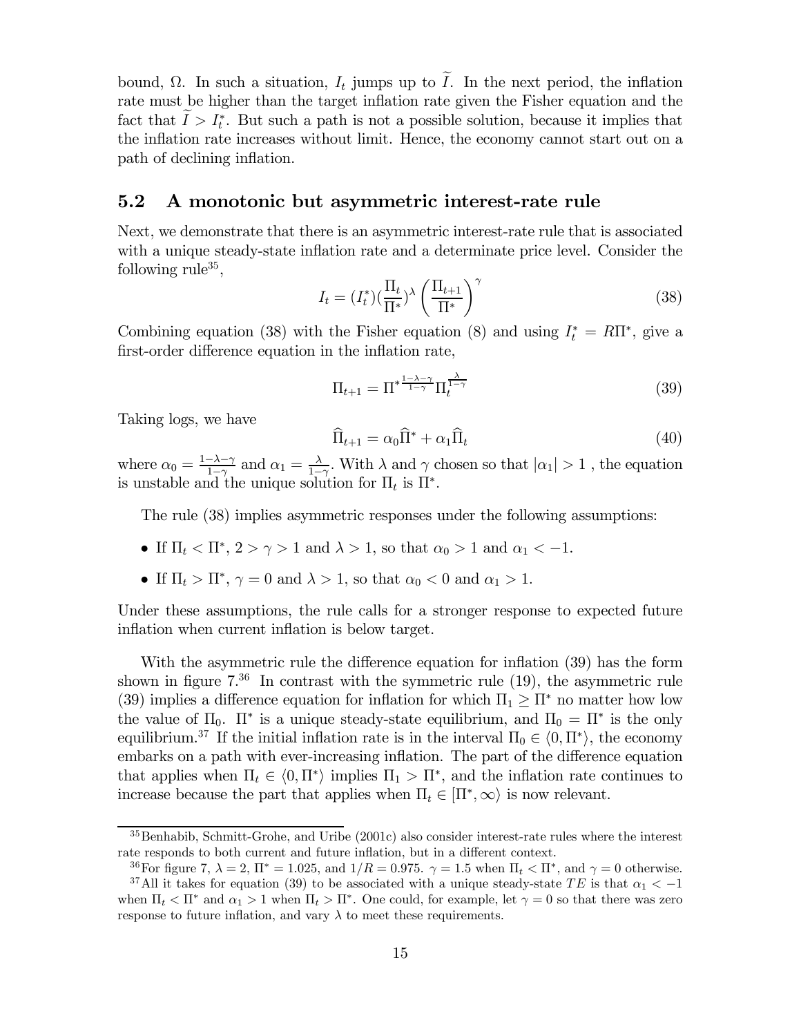bound,  $\Omega$ . In such a situation,  $I_t$  jumps up to I. In the next period, the inflation rate must be higher than the target inflation rate given the Fisher equation and the fact that  $I > I_t^*$ . But such a path is not a possible solution, because it implies that the inflation rate increases without limit. Hence, the economy cannot start out on a path of declining inflation.

#### 5.2 A monotonic but asymmetric interest-rate rule

Next, we demonstrate that there is an asymmetric interest-rate rule that is associated with a unique steady-state inflation rate and a determinate price level. Consider the following rule<sup>35</sup>,

$$
I_t = (I_t^*)(\frac{\Pi_t}{\Pi^*})^\lambda \left(\frac{\Pi_{t+1}}{\Pi^*}\right)^\gamma
$$
\n(38)

Combining equation (38) with the Fisher equation (8) and using  $I_t^* = R \Pi^*$ , give a first-order difference equation in the inflation rate,

$$
\Pi_{t+1} = \Pi^* \frac{1-\lambda-\gamma}{1-\gamma} \Pi_t^{\frac{\lambda}{1-\gamma}}
$$
\n(39)

Taking logs, we have

$$
\widehat{\Pi}_{t+1} = \alpha_0 \widehat{\Pi}^* + \alpha_1 \widehat{\Pi}_t \tag{40}
$$

where  $\alpha_0 = \frac{1-\lambda-\gamma}{1-\gamma}$  and  $\alpha_1 = \frac{\lambda}{1-\gamma}$ . With  $\lambda$  and  $\gamma$  chosen so that  $|\alpha_1| > 1$ , the equation is unstable and the unique solution for  $\Pi_t$  is  $\Pi^*$ .

The rule (38) implies asymmetric responses under the following assumptions:

- If  $\Pi_t < \Pi^*$ ,  $2 > \gamma > 1$  and  $\lambda > 1$ , so that  $\alpha_0 > 1$  and  $\alpha_1 < -1$ .
- If  $\Pi_t > \Pi^*, \gamma = 0$  and  $\lambda > 1$ , so that  $\alpha_0 < 0$  and  $\alpha_1 > 1$ .

response to future inflation, and vary  $\lambda$  to meet these requirements.

Under these assumptions, the rule calls for a stronger response to expected future inflation when current inflation is below target.

With the asymmetric rule the difference equation for inflation (39) has the form shown in figure  $7^{36}$  In contrast with the symmetric rule (19), the asymmetric rule (39) implies a difference equation for inflation for which  $\Pi_1 > \Pi^*$  no matter how low the value of  $\Pi_0$ .  $\Pi^*$  is a unique steady-state equilibrium, and  $\Pi_0 = \Pi^*$  is the only equilibrium.<sup>37</sup> If the initial inflation rate is in the interval  $\Pi_0 \in \langle 0, \Pi^* \rangle$ , the economy embarks on a path with ever-increasing inflation. The part of the difference equation that applies when  $\Pi_t \in \langle 0, \Pi^* \rangle$  implies  $\Pi_1 > \Pi^*$ , and the inflation rate continues to increase because the part that applies when  $\Pi_t \in [\Pi^*, \infty)$  is now relevant.

<sup>35</sup>Benhabib, Schmitt-Grohe, and Uribe (2001c) also consider interest-rate rules where the interest rate responds to both current and future inflation, but in a different context.

<sup>&</sup>lt;sup>36</sup>For figure 7,  $\lambda = 2$ ,  $\Pi^* = 1.025$ , and  $1/R = 0.975$ .  $\gamma = 1.5$  when  $\Pi_t < \Pi^*$ , and  $\gamma = 0$  otherwise. <sup>37</sup>All it takes for equation (39) to be associated with a unique steady-state TE is that  $\alpha_1 < -1$ when  $\Pi_t < \Pi^*$  and  $\alpha_1 > 1$  when  $\Pi_t > \Pi^*$ . One could, for example, let  $\gamma = 0$  so that there was zero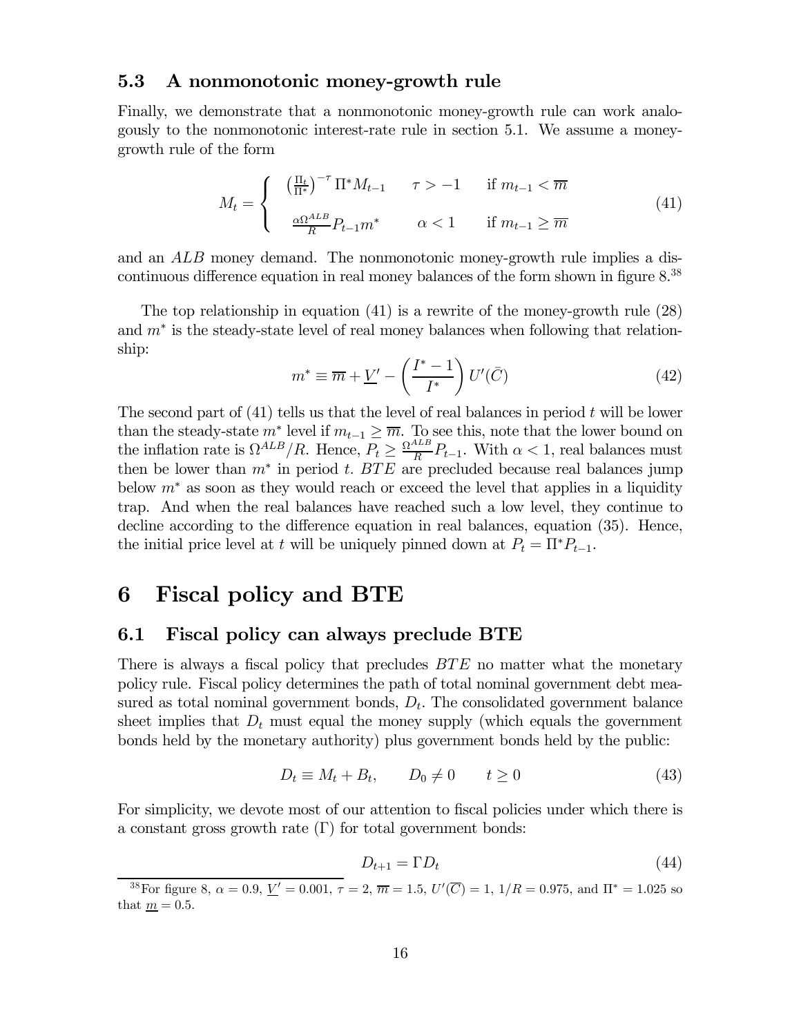#### 5.3 A nonmonotonic money-growth rule

Finally, we demonstrate that a nonmonotonic money-growth rule can work analogously to the nonmonotonic interest-rate rule in section 5.1. We assume a moneygrowth rule of the form

$$
M_t = \begin{cases} \left(\frac{\Pi_t}{\Pi^*}\right)^{-\tau} \Pi^* M_{t-1} & \tau > -1 \quad \text{if } m_{t-1} < \overline{m} \\ \frac{\alpha \Omega^{ALB}}{R} P_{t-1} m^* & \alpha < 1 \quad \text{if } m_{t-1} \ge \overline{m} \end{cases} \tag{41}
$$

and an ALB money demand. The nonmonotonic money-growth rule implies a discontinuous difference equation in real money balances of the form shown in figure 8.38

The top relationship in equation (41) is a rewrite of the money-growth rule (28) and  $m^*$  is the steady-state level of real money balances when following that relationship:

$$
m^* \equiv \overline{m} + \underline{V}' - \left(\frac{I^* - 1}{I^*}\right)U'(\bar{C})\tag{42}
$$

The second part of  $(41)$  tells us that the level of real balances in period t will be lower than the steady-state  $m^*$  level if  $m_{t-1} \geq \overline{m}$ . To see this, note that the lower bound on the inflation rate is  $\Omega^{ALB}/R$ . Hence,  $P_t \geq \frac{\Omega^{ALB}}{R}P_{t-1}$ . With  $\alpha < 1$ , real balances must then be lower than  $m^*$  in period t. BTE are precluded because real balances jump below  $m^*$  as soon as they would reach or exceed the level that applies in a liquidity trap. And when the real balances have reached such a low level, they continue to decline according to the difference equation in real balances, equation (35). Hence, the initial price level at t will be uniquely pinned down at  $P_t = \Pi^* P_{t-1}$ .

# 6 Fiscal policy and BTE

#### 6.1 Fiscal policy can always preclude BTE

There is always a fiscal policy that precludes  $BTE$  no matter what the monetary policy rule. Fiscal policy determines the path of total nominal government debt measured as total nominal government bonds,  $D_t$ . The consolidated government balance sheet implies that  $D_t$  must equal the money supply (which equals the government bonds held by the monetary authority) plus government bonds held by the public:

$$
D_t \equiv M_t + B_t, \qquad D_0 \neq 0 \qquad t \geq 0 \tag{43}
$$

For simplicity, we devote most of our attention to fiscal policies under which there is a constant gross growth rate  $(\Gamma)$  for total government bonds:

$$
D_{t+1} = \Gamma D_t \tag{44}
$$

<sup>&</sup>lt;sup>38</sup>For figure 8,  $\alpha = 0.9, \underline{V}' = 0.001, \tau = 2, \overline{m} = 1.5, \, U'(\overline{C}) = 1, \, 1/R = 0.975, \, \text{and } \Pi^* = 1.025 \text{ so }$ that  $m = 0.5$ .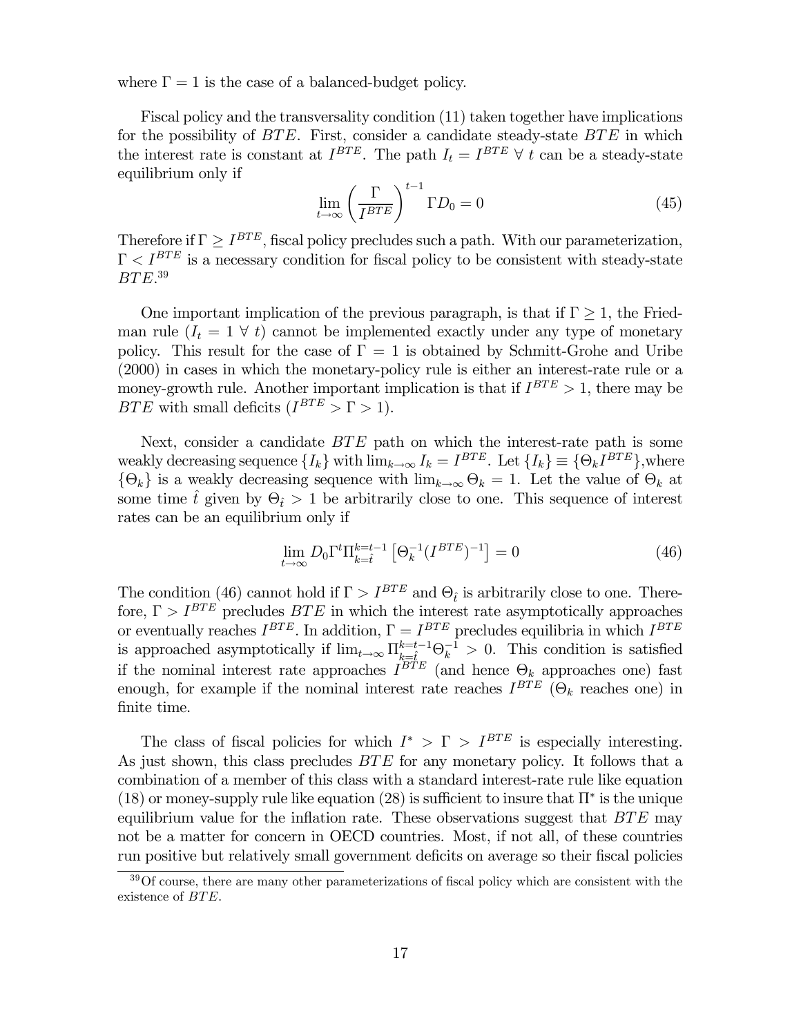where  $\Gamma = 1$  is the case of a balanced-budget policy.

Fiscal policy and the transversality condition (11) taken together have implications for the possibility of BTE. First, consider a candidate steady-state BTE in which the interest rate is constant at  $I^{BTE}$ . The path  $I_t = I^{BTE} \forall t$  can be a steady-state equilibrium only if

$$
\lim_{t \to \infty} \left(\frac{\Gamma}{I^{BTE}}\right)^{t-1} \Gamma D_0 = 0 \tag{45}
$$

Therefore if  $\Gamma \ge I^{BTE}$ , fiscal policy precludes such a path. With our parameterization,  $\Gamma < I^{BTE}$  is a necessary condition for fiscal policy to be consistent with steady-state  $BTE.^{39}$ 

One important implication of the previous paragraph, is that if  $\Gamma \geq 1$ , the Friedman rule  $(I_t = 1 \forall t)$  cannot be implemented exactly under any type of monetary policy. This result for the case of  $\Gamma = 1$  is obtained by Schmitt-Grohe and Uribe (2000) in cases in which the monetary-policy rule is either an interest-rate rule or a money-growth rule. Another important implication is that if  $I^{BTE} > 1$ , there may be BTE with small deficits  $(I^{BTE} > \Gamma > 1)$ .

Next, consider a candidate BTE path on which the interest-rate path is some weakly decreasing sequence  $\{I_k\}$  with  $\lim_{k\to\infty} I_k = I^{BTE}$ . Let  $\{I_k\} \equiv \{\Theta_k I^{BTE}\}$ , where  ${\Theta_k}$  is a weakly decreasing sequence with  $\lim_{k\to\infty} \Theta_k = 1$ . Let the value of  $\Theta_k$  at some time  $\hat{t}$  given by  $\Theta_{\hat{t}} > 1$  be arbitrarily close to one. This sequence of interest rates can be an equilibrium only if

$$
\lim_{t \to \infty} D_0 \Gamma^t \Pi_{k=\hat{t}}^{k=t-1} \left[ \Theta_k^{-1} (I^{BTE})^{-1} \right] = 0 \tag{46}
$$

The condition (46) cannot hold if  $\Gamma > I^{BTE}$  and  $\Theta_t$  is arbitrarily close to one. Therefore,  $\Gamma > I^{BTE}$  precludes  $BTE$  in which the interest rate asymptotically approaches or eventually reaches  $I^{BTE}$ . In addition,  $\Gamma = I^{BTE}$  precludes equilibria in which  $I^{BTE}$ is approached asymptotically if  $\lim_{t\to\infty} \Pi_{k=\hat{t}}^{k=t-1} \Theta_k^{-1} > 0$ . This condition is satisfied if the nominal interest rate approaches  $I^{BTE}$  (and hence  $\Theta_k$  approaches one) fast enough, for example if the nominal interest rate reaches  $I^{BTE}$  ( $\Theta_k$  reaches one) in finite time.

The class of fiscal policies for which  $I^* > \Gamma > I^{BTE}$  is especially interesting. As just shown, this class precludes  $BTE$  for any monetary policy. It follows that a combination of a member of this class with a standard interest-rate rule like equation (18) or money-supply rule like equation (28) is sufficient to insure that  $\Pi^*$  is the unique equilibrium value for the inflation rate. These observations suggest that  $BTE$  may not be a matter for concern in OECD countries. Most, if not all, of these countries run positive but relatively small government deficits on average so their fiscal policies

<sup>&</sup>lt;sup>39</sup>Of course, there are many other parameterizations of fiscal policy which are consistent with the existence of BTE.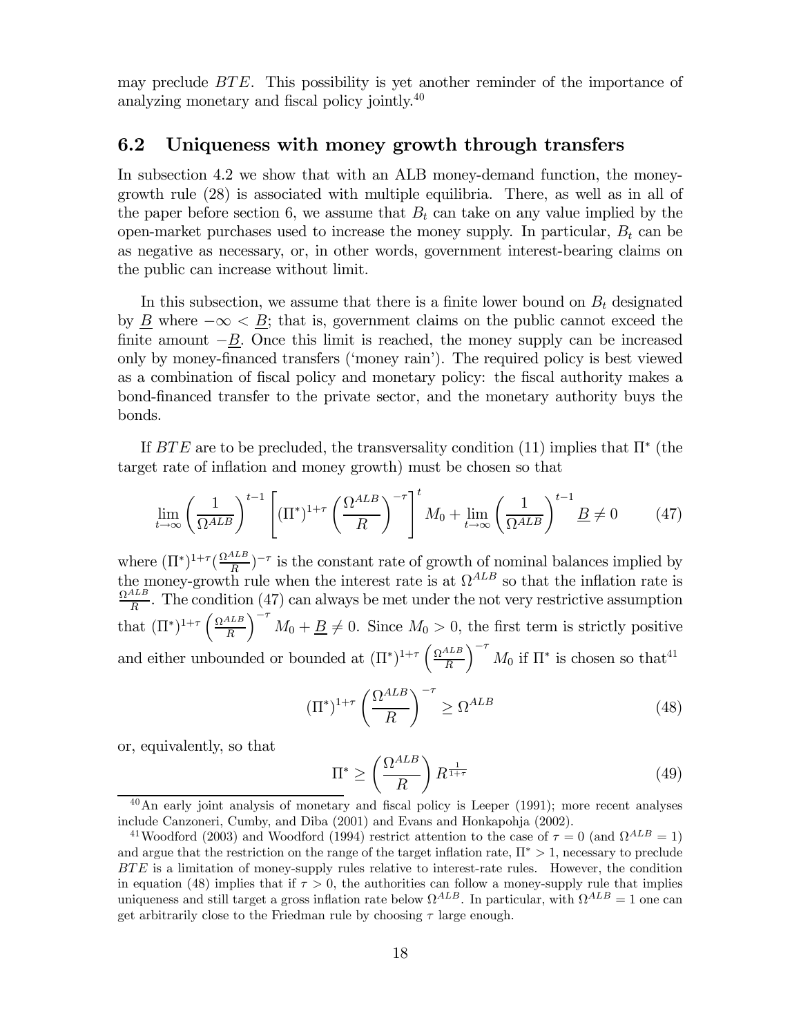may preclude BTE. This possibility is yet another reminder of the importance of analyzing monetary and fiscal policy jointly.<sup>40</sup>

#### 6.2 Uniqueness with money growth through transfers

In subsection 4.2 we show that with an ALB money-demand function, the moneygrowth rule (28) is associated with multiple equilibria. There, as well as in all of the paper before section 6, we assume that  $B_t$  can take on any value implied by the open-market purchases used to increase the money supply. In particular,  $B_t$  can be as negative as necessary, or, in other words, government interest-bearing claims on the public can increase without limit.

In this subsection, we assume that there is a finite lower bound on  $B_t$  designated by <u>B</u> where  $-\infty <$  B; that is, government claims on the public cannot exceed the finite amount  $-\underline{B}$ . Once this limit is reached, the money supply can be increased only by money-financed transfers ('money rain'). The required policy is best viewed as a combination of fiscal policy and monetary policy: the fiscal authority makes a bond-financed transfer to the private sector, and the monetary authority buys the bonds.

If  $BTE$  are to be precluded, the transversality condition (11) implies that  $\Pi^*$  (the target rate of inflation and money growth) must be chosen so that

$$
\lim_{t \to \infty} \left(\frac{1}{\Omega^{ALB}}\right)^{t-1} \left[ (\Pi^*)^{1+\tau} \left(\frac{\Omega^{ALB}}{R}\right)^{-\tau} \right]^t M_0 + \lim_{t \to \infty} \left(\frac{1}{\Omega^{ALB}}\right)^{t-1} \underline{B} \neq 0 \tag{47}
$$

where  $(\Pi^*)^{1+\tau}(\frac{\Omega^{ALB}}{R})^{-\tau}$  is the constant rate of growth of nominal balances implied by the money-growth rule when the interest rate is at  $\Omega^{ALB}$  so that the inflation rate is  $\frac{\Omega^{ALB}}{R}$ . The condition (47) can always be met under the not very restrictive assumption that  $(\Pi^*)^{1+\tau} \left( \frac{\Omega^{ALB}}{R} \right)$ R  $\int_{0}^{-\tau} M_0 + \underline{B} \neq 0$ . Since  $M_0 > 0$ , the first term is strictly positive and either unbounded or bounded at  $(\Pi^*)^{1+\tau} \left( \frac{\Omega^{ALB}}{R} \right)$ R  $\int_{0}^{-\tau} M_0$  if  $\Pi^*$  is chosen so that<sup>41</sup>

$$
(\Pi^*)^{1+\tau} \left(\frac{\Omega^{ALB}}{R}\right)^{-\tau} \ge \Omega^{ALB} \tag{48}
$$

or, equivalently, so that

$$
\Pi^* \ge \left(\frac{\Omega^{ALB}}{R}\right) R^{\frac{1}{1+\tau}} \tag{49}
$$

 $40$ An early joint analysis of monetary and fiscal policy is Leeper (1991); more recent analyses include Canzoneri, Cumby, and Diba (2001) and Evans and Honkapohja (2002).

<sup>&</sup>lt;sup>41</sup>Woodford (2003) and Woodford (1994) restrict attention to the case of  $\tau = 0$  (and  $\Omega^{ALB} = 1$ ) and argue that the restriction on the range of the target inflation rate,  $\Pi^* > 1$ , necessary to preclude BTE is a limitation of money-supply rules relative to interest-rate rules. However, the condition in equation (48) implies that if  $\tau > 0$ , the authorities can follow a money-supply rule that implies uniqueness and still target a gross inflation rate below  $\Omega^{ALB}$ . In particular, with  $\Omega^{ALB} = 1$  one can get arbitrarily close to the Friedman rule by choosing  $\tau$  large enough.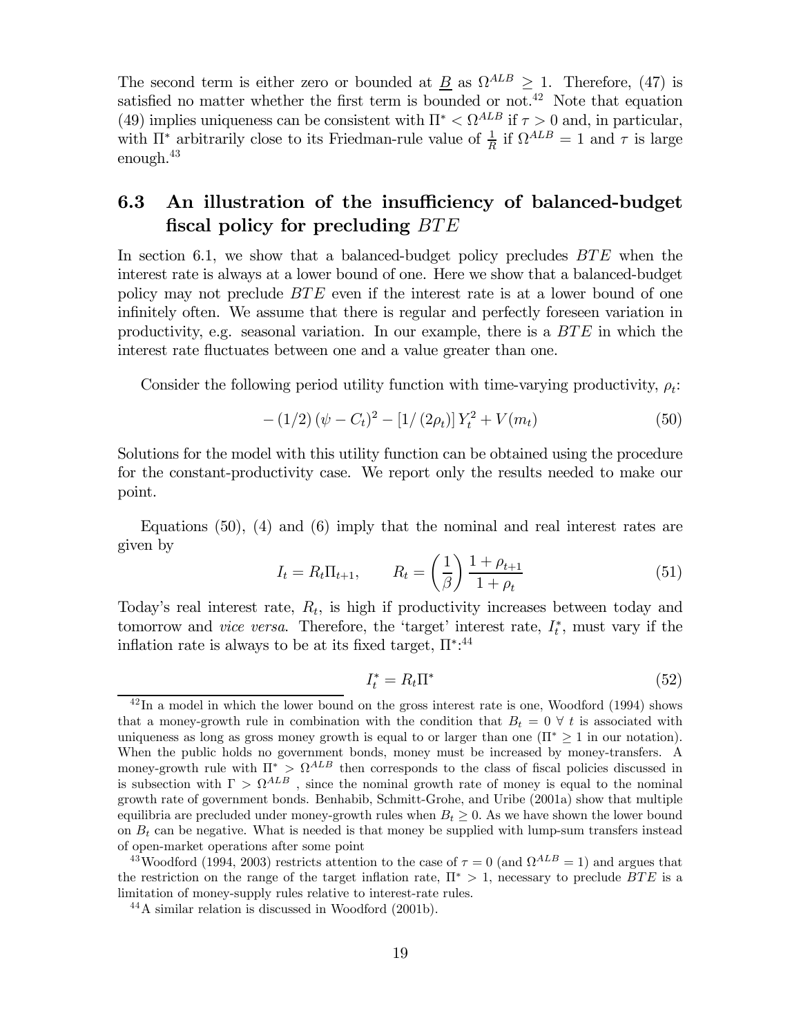The second term is either zero or bounded at  $\underline{B}$  as  $\Omega^{ALB} \geq 1$ . Therefore, (47) is satisfied no matter whether the first term is bounded or not.<sup>42</sup> Note that equation (49) implies uniqueness can be consistent with  $\Pi^* < \Omega^{ALB}$  if  $\tau > 0$  and, in particular, with  $\Pi^*$  arbitrarily close to its Friedman-rule value of  $\frac{1}{R}$  if  $\Omega^{ALB} = 1$  and  $\tau$  is large enough. $43$ 

## 6.3 An illustration of the insufficiency of balanced-budget fiscal policy for precluding BTE

In section 6.1, we show that a balanced-budget policy precludes  $BTE$  when the interest rate is always at a lower bound of one. Here we show that a balanced-budget policy may not preclude BTE even if the interest rate is at a lower bound of one infinitely often. We assume that there is regular and perfectly foreseen variation in productivity, e.g. seasonal variation. In our example, there is a  $BTE$  in which the interest rate fluctuates between one and a value greater than one.

Consider the following period utility function with time-varying productivity,  $\rho_t$ :

$$
-(1/2)(\psi - C_t)^2 - [1/(2\rho_t)]Y_t^2 + V(m_t)
$$
\n(50)

Solutions for the model with this utility function can be obtained using the procedure for the constant-productivity case. We report only the results needed to make our point.

Equations  $(50)$ ,  $(4)$  and  $(6)$  imply that the nominal and real interest rates are given by

$$
I_t = R_t \Pi_{t+1}, \qquad R_t = \left(\frac{1}{\beta}\right) \frac{1 + \rho_{t+1}}{1 + \rho_t} \tag{51}
$$

Today's real interest rate,  $R_t$ , is high if productivity increases between today and tomorrow and *vice versa*. Therefore, the 'target' interest rate,  $I_t^*$ , must vary if the inflation rate is always to be at its fixed target,  $\Pi^{*,44}$ 

$$
I_t^* = R_t \Pi^* \tag{52}
$$

 $^{42}$ In a model in which the lower bound on the gross interest rate is one, Woodford (1994) shows that a money-growth rule in combination with the condition that  $B_t = 0 \forall t$  is associated with uniqueness as long as gross money growth is equal to or larger than one  $(\Pi^* \geq 1$  in our notation). When the public holds no government bonds, money must be increased by money-transfers. A money-growth rule with  $\Pi^* > \Omega^{ALB}$  then corresponds to the class of fiscal policies discussed in is subsection with  $\Gamma > \Omega^{ALB}$ , since the nominal growth rate of money is equal to the nominal growth rate of government bonds. Benhabib, Schmitt-Grohe, and Uribe (2001a) show that multiple equilibria are precluded under money-growth rules when  $B_t \geq 0$ . As we have shown the lower bound on  $B_t$  can be negative. What is needed is that money be supplied with lump-sum transfers instead of open-market operations after some point

<sup>&</sup>lt;sup>43</sup>Woodford (1994, 2003) restricts attention to the case of  $\tau = 0$  (and  $\Omega^{ALB} = 1$ ) and argues that the restriction on the range of the target inflation rate,  $\Pi^* > 1$ , necessary to preclude BTE is a limitation of money-supply rules relative to interest-rate rules.

<sup>44</sup>A similar relation is discussed in Woodford (2001b).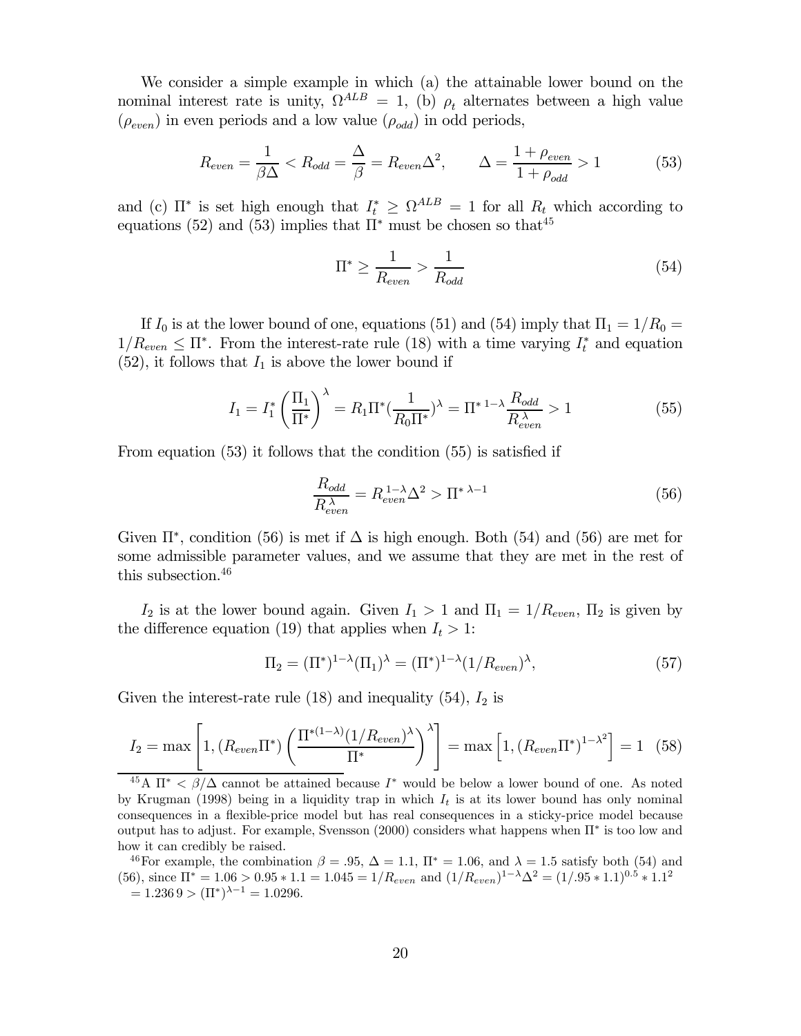We consider a simple example in which (a) the attainable lower bound on the nominal interest rate is unity,  $\Omega^{ALB} = 1$ , (b)  $\rho_t$  alternates between a high value  $(\rho_{even})$  in even periods and a low value  $(\rho_{odd})$  in odd periods,

$$
R_{even} = \frac{1}{\beta \Delta} < R_{odd} = \frac{\Delta}{\beta} = R_{even} \Delta^2, \qquad \Delta = \frac{1 + \rho_{even}}{1 + \rho_{odd}} > 1 \tag{53}
$$

and (c)  $\Pi^*$  is set high enough that  $I_t^* \geq \Omega^{ALB} = 1$  for all  $R_t$  which according to equations (52) and (53) implies that  $\Pi^*$  must be chosen so that<sup>45</sup>

$$
\Pi^* \ge \frac{1}{R_{even}} > \frac{1}{R_{odd}}\tag{54}
$$

If  $I_0$  is at the lower bound of one, equations (51) and (54) imply that  $\Pi_1 = 1/R_0 =$  $1/R_{even} \leq \Pi^*$ . From the interest-rate rule (18) with a time varying  $I_t^*$  and equation  $(52)$ , it follows that  $I_1$  is above the lower bound if

$$
I_1 = I_1^* \left(\frac{\Pi_1}{\Pi^*}\right)^{\lambda} = R_1 \Pi^* \left(\frac{1}{R_0 \Pi^*}\right)^{\lambda} = \Pi^* \left(\frac{1}{R_{even}^{\lambda}}\right) = 1 \tag{55}
$$

From equation (53) it follows that the condition (55) is satisfied if

$$
\frac{R_{odd}}{R_{even}^{\lambda}} = R_{even}^{1-\lambda} \Delta^2 > \Pi^*^{\lambda-1}
$$
\n(56)

Given  $\Pi^*$ , condition (56) is met if  $\Delta$  is high enough. Both (54) and (56) are met for some admissible parameter values, and we assume that they are met in the rest of this subsection.<sup>46</sup>

 $I_2$  is at the lower bound again. Given  $I_1 > 1$  and  $\Pi_1 = 1/R_{even}$ ,  $\Pi_2$  is given by the difference equation (19) that applies when  $I_t > 1$ :

$$
\Pi_2 = (\Pi^*)^{1-\lambda} (\Pi_1)^{\lambda} = (\Pi^*)^{1-\lambda} (1/R_{even})^{\lambda}, \tag{57}
$$

Given the interest-rate rule  $(18)$  and inequality  $(54)$ ,  $I_2$  is

$$
I_2 = \max\left[1, \left(R_{even}\Pi^*\right)\left(\frac{\Pi^{*(1-\lambda)}(1/R_{even})^{\lambda}}{\Pi^*}\right)^{\lambda}\right] = \max\left[1, \left(R_{even}\Pi^*\right)^{1-\lambda^2}\right] = 1 \quad (58)
$$

 $\frac{45}{4}$   $\pi^*$  <  $\beta/\Delta$  cannot be attained because  $I^*$  would be below a lower bound of one. As noted by Krugman (1998) being in a liquidity trap in which  $I_t$  is at its lower bound has only nominal consequences in a flexible-price model but has real consequences in a sticky-price model because output has to adjust. For example, Svensson (2000) considers what happens when Π∗ is too low and how it can credibly be raised.

<sup>46</sup>For example, the combination  $\beta = .95$ ,  $\Delta = 1.1$ ,  $\Pi^* = 1.06$ , and  $\lambda = 1.5$  satisfy both (54) and (56), since  $\Pi^* = 1.06 > 0.95 * 1.1 = 1.045 = 1/R_{even}$  and  $(1/R_{even})^{1-\lambda}\Delta^2 = (1/.95 * 1.1)^{0.5} * 1.1^2$  $= 1.2369 > (\Pi^*)^{\lambda - 1} = 1.0296.$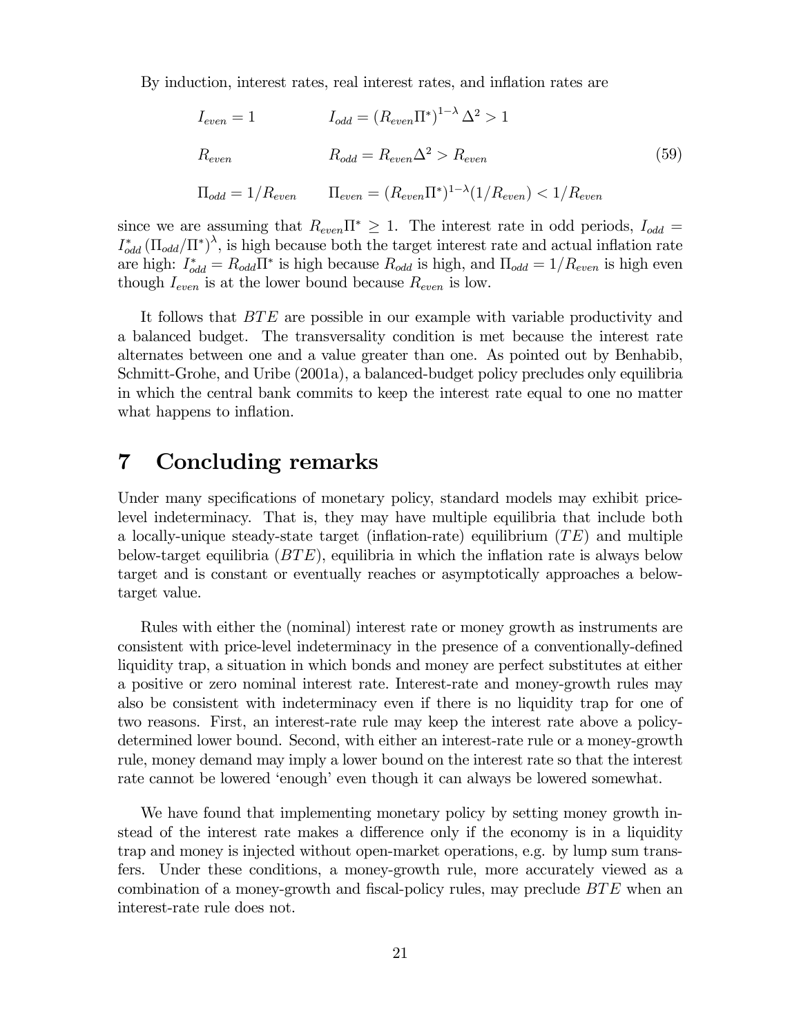By induction, interest rates, real interest rates, and inflation rates are

$$
I_{even} = 1
$$

$$
I_{odd} = (R_{even}\Pi^*)^{1-\lambda}\Delta^2 > 1
$$

$$
R_{even}
$$

$$
R_{odd} = R_{even}\Delta^2 > R_{even}
$$

$$
\Pi_{odd} = 1/R_{even}
$$

$$
\Pi_{even} = (R_{even}\Pi^*)^{1-\lambda}(1/R_{even}) < 1/R_{even}
$$

$$
(59)
$$

since we are assuming that  $R_{even} \Pi^* \geq 1$ . The interest rate in odd periods,  $I_{odd} =$  $I_{odd}^*(\Pi_{odd}/\Pi^*)^{\lambda}$ , is high because both the target interest rate and actual inflation rate are high:  $I_{odd}^* = R_{odd} \Pi^*$  is high because  $R_{odd}$  is high, and  $\Pi_{odd} = 1/R_{even}$  is high even though  $I_{even}$  is at the lower bound because  $R_{even}$  is low.

It follows that BTE are possible in our example with variable productivity and a balanced budget. The transversality condition is met because the interest rate alternates between one and a value greater than one. As pointed out by Benhabib, Schmitt-Grohe, and Uribe (2001a), a balanced-budget policy precludes only equilibria in which the central bank commits to keep the interest rate equal to one no matter what happens to inflation.

# 7 Concluding remarks

Under many specifications of monetary policy, standard models may exhibit pricelevel indeterminacy. That is, they may have multiple equilibria that include both a locally-unique steady-state target (inflation-rate) equilibrium  $(TE)$  and multiple below-target equilibria  $(BTE)$ , equilibria in which the inflation rate is always below target and is constant or eventually reaches or asymptotically approaches a belowtarget value.

Rules with either the (nominal) interest rate or money growth as instruments are consistent with price-level indeterminacy in the presence of a conventionally-defined liquidity trap, a situation in which bonds and money are perfect substitutes at either a positive or zero nominal interest rate. Interest-rate and money-growth rules may also be consistent with indeterminacy even if there is no liquidity trap for one of two reasons. First, an interest-rate rule may keep the interest rate above a policydetermined lower bound. Second, with either an interest-rate rule or a money-growth rule, money demand may imply a lower bound on the interest rate so that the interest rate cannot be lowered 'enough' even though it can always be lowered somewhat.

We have found that implementing monetary policy by setting money growth instead of the interest rate makes a difference only if the economy is in a liquidity trap and money is injected without open-market operations, e.g. by lump sum transfers. Under these conditions, a money-growth rule, more accurately viewed as a combination of a money-growth and fiscal-policy rules, may preclude BTE when an interest-rate rule does not.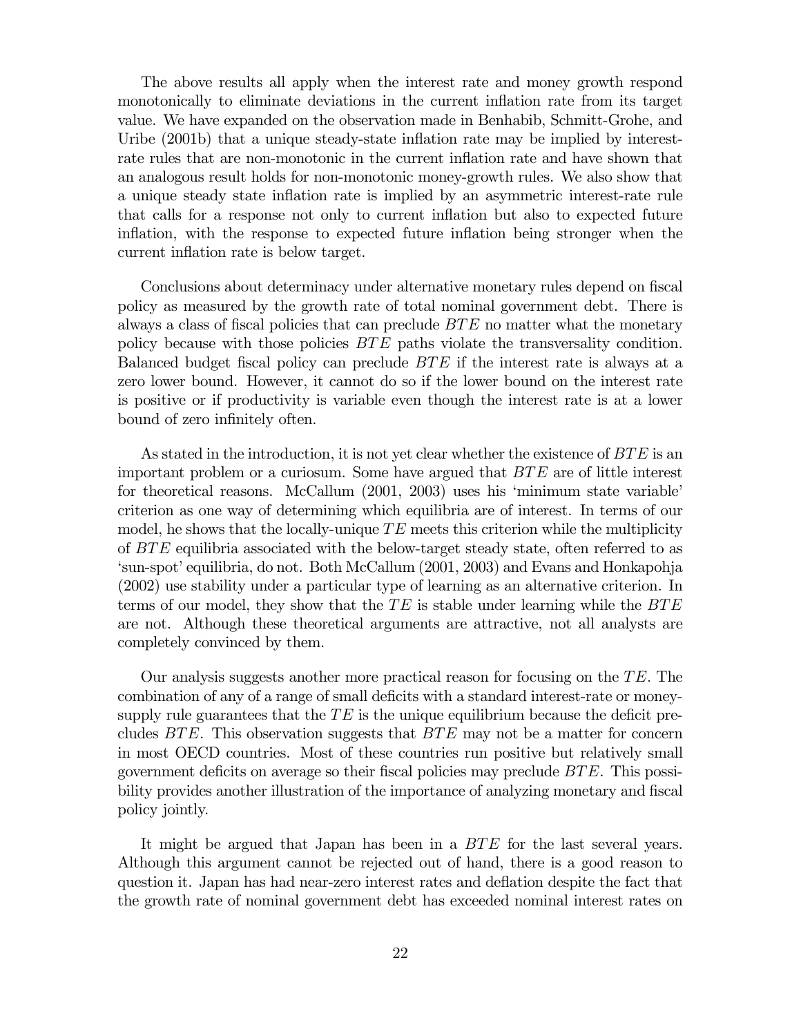The above results all apply when the interest rate and money growth respond monotonically to eliminate deviations in the current inflation rate from its target value. We have expanded on the observation made in Benhabib, Schmitt-Grohe, and Uribe (2001b) that a unique steady-state inflation rate may be implied by interestrate rules that are non-monotonic in the current inflation rate and have shown that an analogous result holds for non-monotonic money-growth rules. We also show that a unique steady state inflation rate is implied by an asymmetric interest-rate rule that calls for a response not only to current inflation but also to expected future inflation, with the response to expected future inflation being stronger when the current inflation rate is below target.

Conclusions about determinacy under alternative monetary rules depend on fiscal policy as measured by the growth rate of total nominal government debt. There is always a class of fiscal policies that can preclude BTE no matter what the monetary policy because with those policies BTE paths violate the transversality condition. Balanced budget fiscal policy can preclude BTE if the interest rate is always at a zero lower bound. However, it cannot do so if the lower bound on the interest rate is positive or if productivity is variable even though the interest rate is at a lower bound of zero infinitely often.

As stated in the introduction, it is not yet clear whether the existence of  $BTE$  is an important problem or a curiosum. Some have argued that BTE are of little interest for theoretical reasons. McCallum (2001, 2003) uses his 'minimum state variable' criterion as one way of determining which equilibria are of interest. In terms of our model, he shows that the locally-unique  $TE$  meets this criterion while the multiplicity of BTE equilibria associated with the below-target steady state, often referred to as 'sun-spot' equilibria, do not. Both McCallum (2001, 2003) and Evans and Honkapohja (2002) use stability under a particular type of learning as an alternative criterion. In terms of our model, they show that the  $TE$  is stable under learning while the  $BTE$ are not. Although these theoretical arguments are attractive, not all analysts are completely convinced by them.

Our analysis suggests another more practical reason for focusing on the TE. The combination of any of a range of small deficits with a standard interest-rate or moneysupply rule guarantees that the  $TE$  is the unique equilibrium because the deficit precludes  $BTE$ . This observation suggests that  $BTE$  may not be a matter for concern in most OECD countries. Most of these countries run positive but relatively small government deficits on average so their fiscal policies may preclude BTE. This possibility provides another illustration of the importance of analyzing monetary and fiscal policy jointly.

It might be argued that Japan has been in a BTE for the last several years. Although this argument cannot be rejected out of hand, there is a good reason to question it. Japan has had near-zero interest rates and deflation despite the fact that the growth rate of nominal government debt has exceeded nominal interest rates on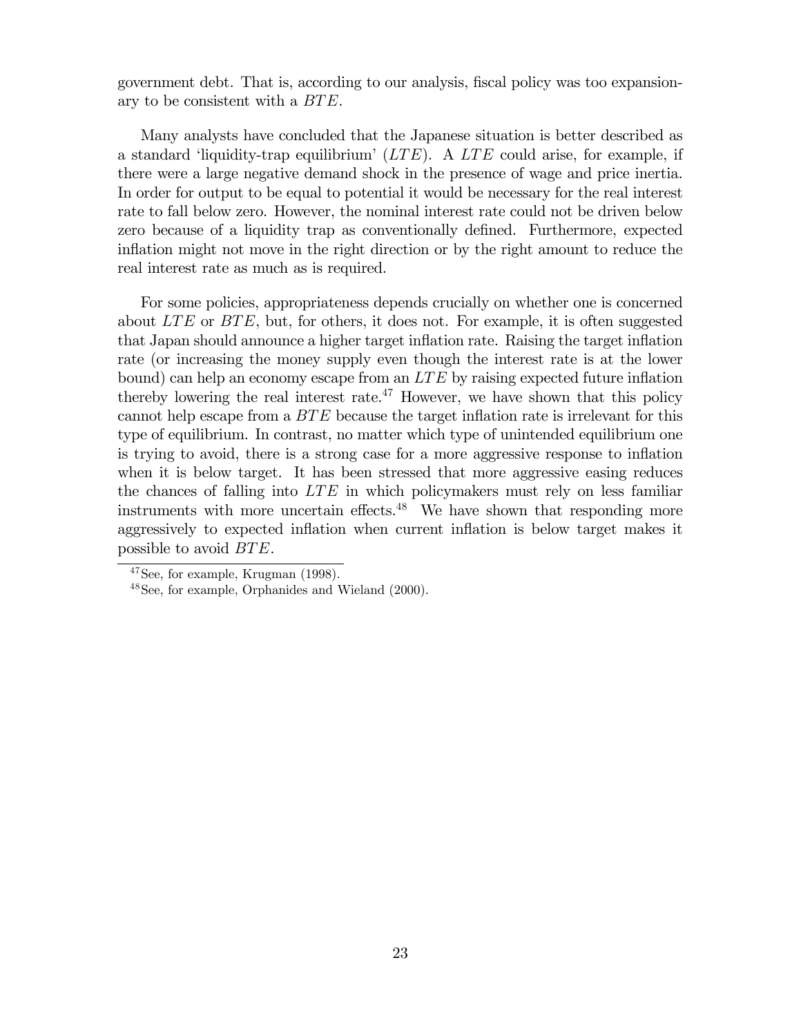government debt. That is, according to our analysis, fiscal policy was too expansionary to be consistent with a BTE.

Many analysts have concluded that the Japanese situation is better described as a standard 'liquidity-trap equilibrium'  $(LTE)$ . A LTE could arise, for example, if there were a large negative demand shock in the presence of wage and price inertia. In order for output to be equal to potential it would be necessary for the real interest rate to fall below zero. However, the nominal interest rate could not be driven below zero because of a liquidity trap as conventionally defined. Furthermore, expected inflation might not move in the right direction or by the right amount to reduce the real interest rate as much as is required.

For some policies, appropriateness depends crucially on whether one is concerned about  $LTE$  or  $BTE$ , but, for others, it does not. For example, it is often suggested that Japan should announce a higher target inflation rate. Raising the target inflation rate (or increasing the money supply even though the interest rate is at the lower bound) can help an economy escape from an  $LTE$  by raising expected future inflation thereby lowering the real interest rate.<sup>47</sup> However, we have shown that this policy cannot help escape from a BTE because the target inflation rate is irrelevant for this type of equilibrium. In contrast, no matter which type of unintended equilibrium one is trying to avoid, there is a strong case for a more aggressive response to inflation when it is below target. It has been stressed that more aggressive easing reduces the chances of falling into  $LTE$  in which policymakers must rely on less familiar instruments with more uncertain effects.<sup> $48$ </sup> We have shown that responding more aggressively to expected inflation when current inflation is below target makes it possible to avoid BTE.

<sup>47</sup>See, for example, Krugman (1998).

<sup>48</sup>See, for example, Orphanides and Wieland (2000).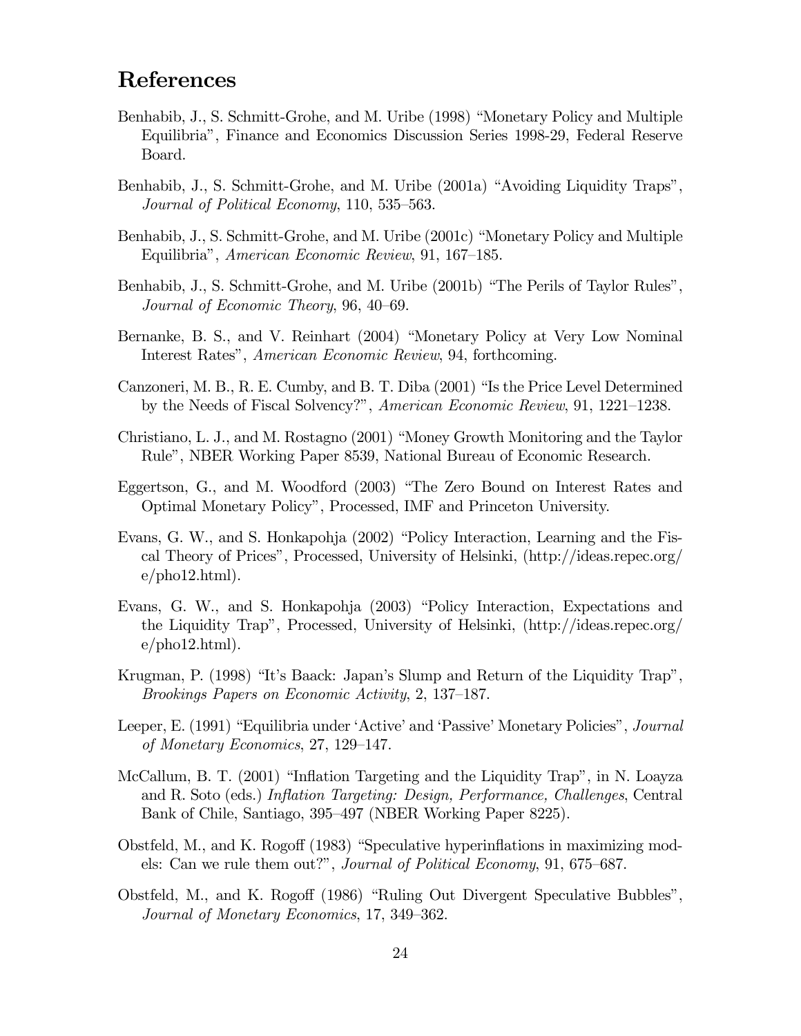# References

- Benhabib, J., S. Schmitt-Grohe, and M. Uribe (1998) "Monetary Policy and Multiple Equilibria", Finance and Economics Discussion Series 1998-29, Federal Reserve Board.
- Benhabib, J., S. Schmitt-Grohe, and M. Uribe (2001a) "Avoiding Liquidity Traps", Journal of Political Economy, 110, 535—563.
- Benhabib, J., S. Schmitt-Grohe, and M. Uribe (2001c) "Monetary Policy and Multiple Equilibria", American Economic Review, 91, 167—185.
- Benhabib, J., S. Schmitt-Grohe, and M. Uribe (2001b) "The Perils of Taylor Rules", Journal of Economic Theory, 96, 40—69.
- Bernanke, B. S., and V. Reinhart (2004) "Monetary Policy at Very Low Nominal Interest Rates", American Economic Review, 94, forthcoming.
- Canzoneri, M. B., R. E. Cumby, and B. T. Diba (2001) "Is the Price Level Determined by the Needs of Fiscal Solvency?", American Economic Review, 91, 1221—1238.
- Christiano, L. J., and M. Rostagno (2001) "Money Growth Monitoring and the Taylor Rule", NBER Working Paper 8539, National Bureau of Economic Research.
- Eggertson, G., and M. Woodford (2003) "The Zero Bound on Interest Rates and Optimal Monetary Policy", Processed, IMF and Princeton University.
- Evans, G. W., and S. Honkapohja (2002) "Policy Interaction, Learning and the Fiscal Theory of Prices", Processed, University of Helsinki, (http://ideas.repec.org/ e/pho12.html).
- Evans, G. W., and S. Honkapohja (2003) "Policy Interaction, Expectations and the Liquidity Trap", Processed, University of Helsinki, (http://ideas.repec.org/  $e/\text{pho12.html}$ .
- Krugman, P. (1998) "It's Baack: Japan's Slump and Return of the Liquidity Trap", Brookings Papers on Economic Activity, 2, 137—187.
- Leeper, E. (1991) "Equilibria under 'Active' and 'Passive' Monetary Policies", Journal of Monetary Economics, 27, 129—147.
- McCallum, B. T. (2001) "Inflation Targeting and the Liquidity Trap", in N. Loayza and R. Soto (eds.) Inflation Targeting: Design, Performance, Challenges, Central Bank of Chile, Santiago, 395—497 (NBER Working Paper 8225).
- Obstfeld, M., and K. Rogoff (1983) "Speculative hyperinflations in maximizing models: Can we rule them out?", Journal of Political Economy, 91, 675—687.
- Obstfeld, M., and K. Rogoff (1986) "Ruling Out Divergent Speculative Bubbles", Journal of Monetary Economics, 17, 349—362.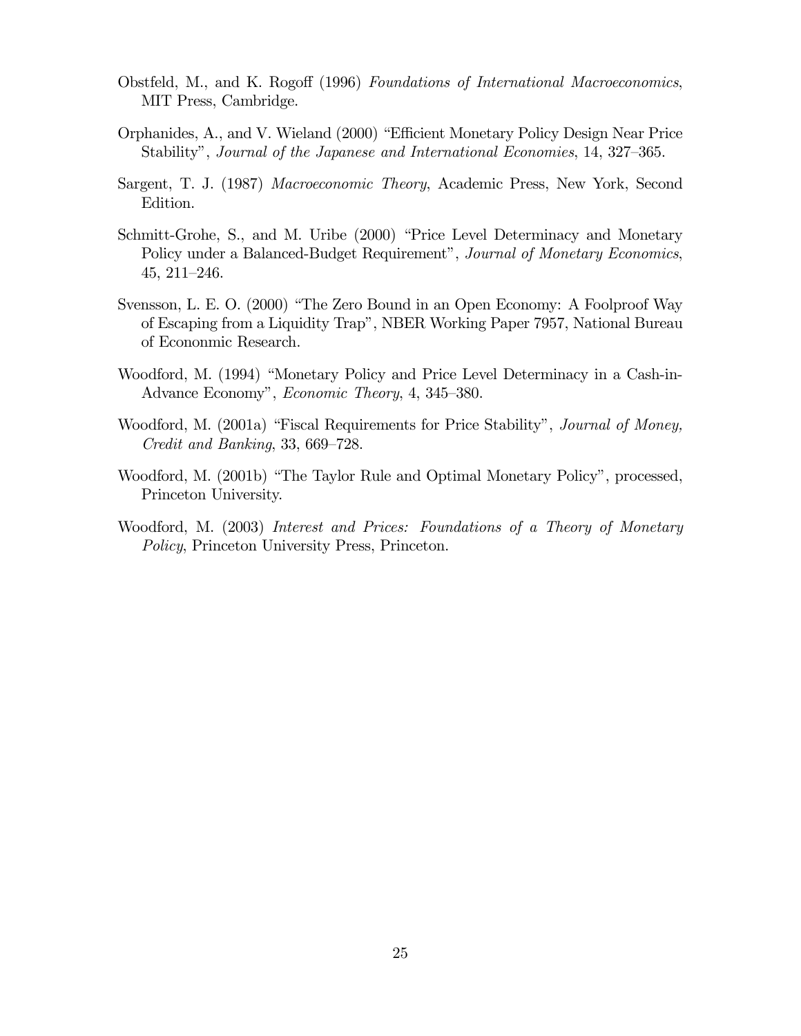- Obstfeld, M., and K. Rogoff (1996) Foundations of International Macroeconomics, MIT Press, Cambridge.
- Orphanides, A., and V. Wieland (2000) "Efficient Monetary Policy Design Near Price Stability", Journal of the Japanese and International Economies, 14, 327—365.
- Sargent, T. J. (1987) Macroeconomic Theory, Academic Press, New York, Second Edition.
- Schmitt-Grohe, S., and M. Uribe (2000) "Price Level Determinacy and Monetary Policy under a Balanced-Budget Requirement", Journal of Monetary Economics, 45, 211—246.
- Svensson, L. E. O. (2000) "The Zero Bound in an Open Economy: A Foolproof Way of Escaping from a Liquidity Trap", NBER Working Paper 7957, National Bureau of Econonmic Research.
- Woodford, M. (1994) "Monetary Policy and Price Level Determinacy in a Cash-in-Advance Economy", Economic Theory, 4, 345—380.
- Woodford, M. (2001a) "Fiscal Requirements for Price Stability", *Journal of Money*, Credit and Banking, 33, 669—728.
- Woodford, M. (2001b) "The Taylor Rule and Optimal Monetary Policy", processed, Princeton University.
- Woodford, M. (2003) Interest and Prices: Foundations of a Theory of Monetary Policy, Princeton University Press, Princeton.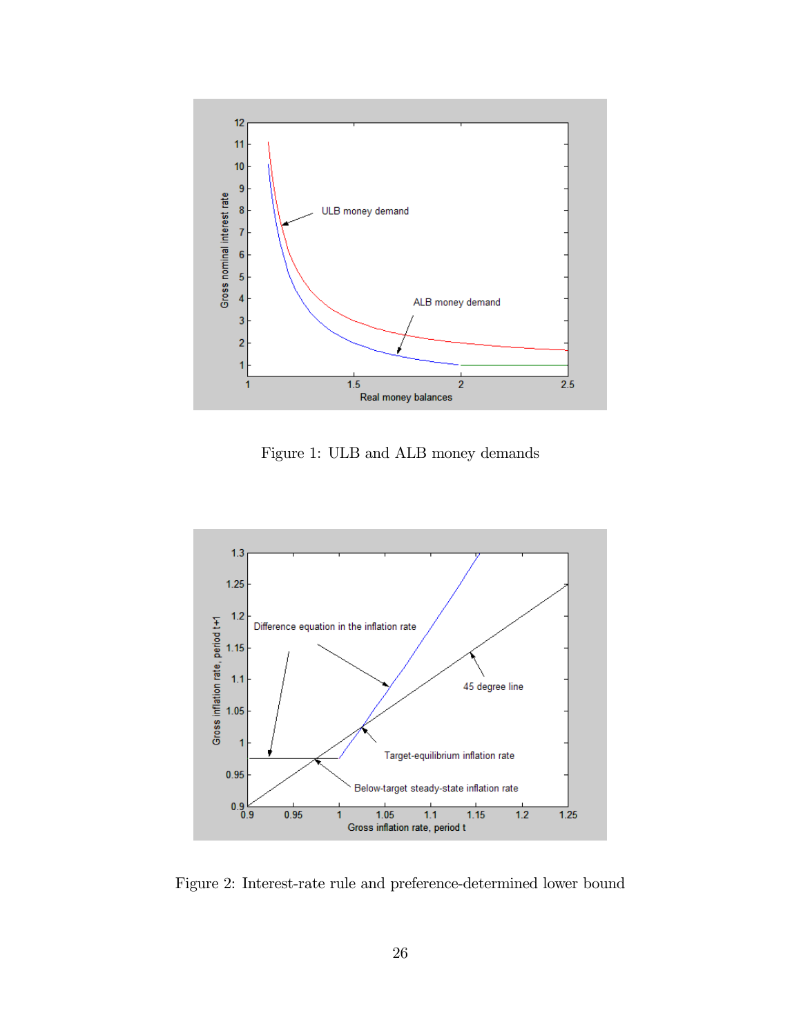

Figure 1: ULB and ALB money demands



Figure 2: Interest-rate rule and preference-determined lower bound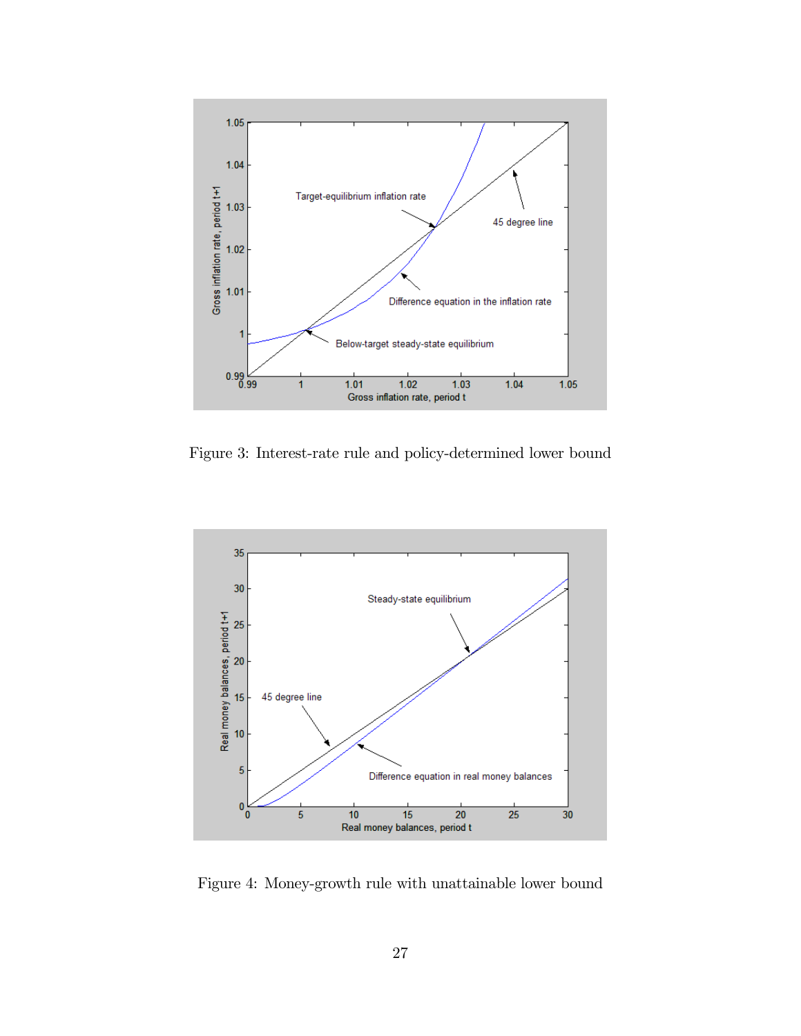

Figure 3: Interest-rate rule and policy-determined lower bound



Figure 4: Money-growth rule with unattainable lower bound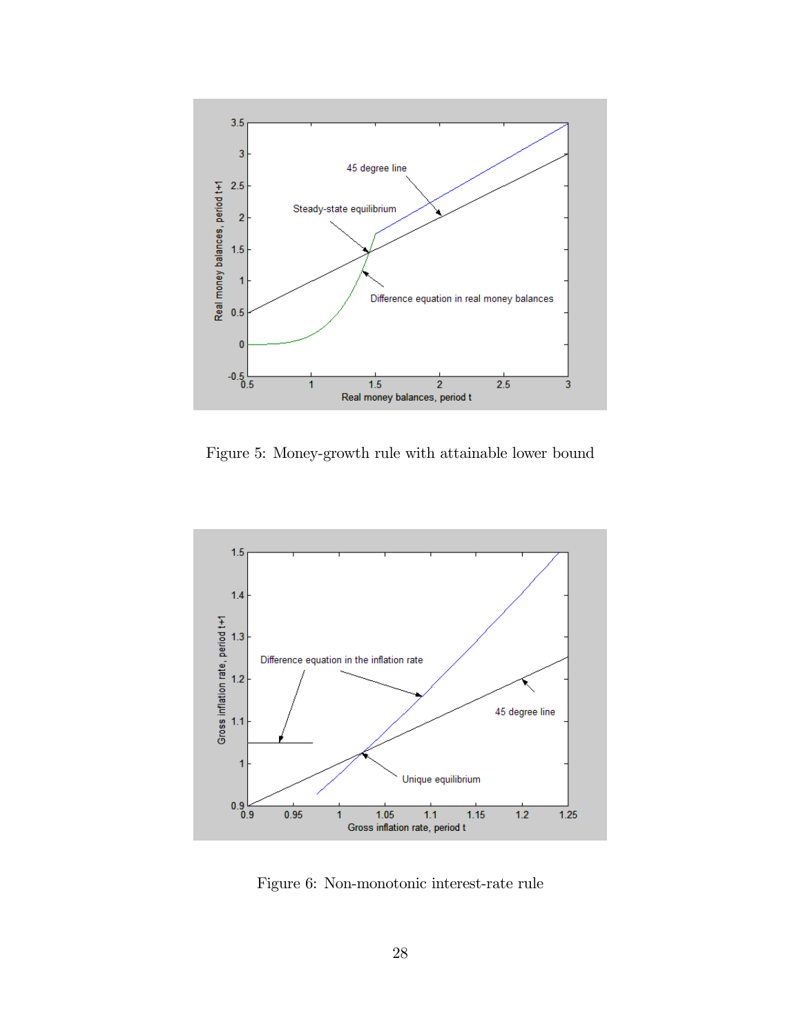

Figure 5: Money-growth rule with attainable lower bound



Figure 6: Non-monotonic interest-rate rule